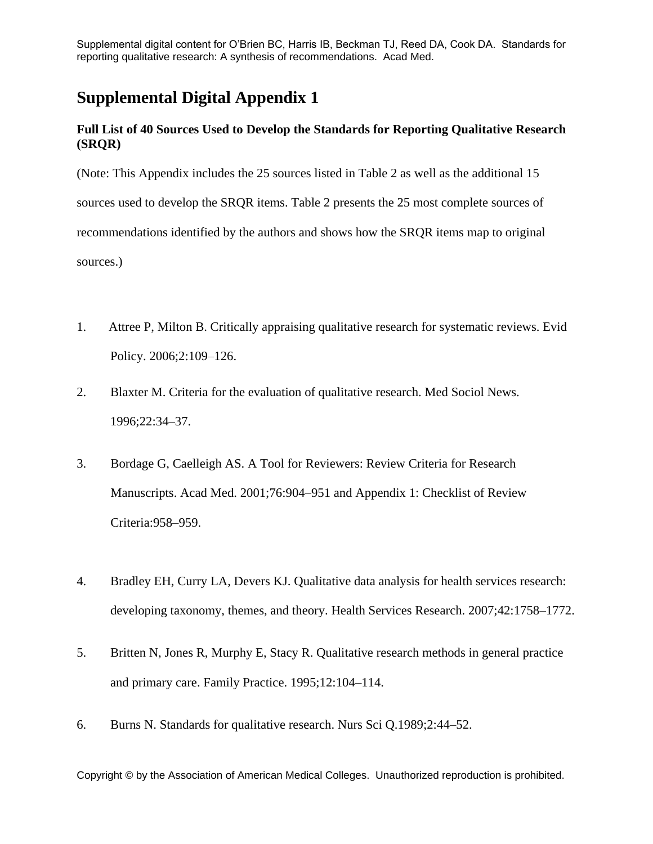# **Supplemental Digital Appendix 1**

# **Full List of 40 Sources Used to Develop the Standards for Reporting Qualitative Research (SRQR)**

(Note: This Appendix includes the 25 sources listed in Table 2 as well as the additional 15 sources used to develop the SRQR items. Table 2 presents the 25 most complete sources of recommendations identified by the authors and shows how the SRQR items map to original sources.)

- 1. Attree P, Milton B. Critically appraising qualitative research for systematic reviews. Evid Policy. 2006;2:109–126.
- 2. Blaxter M. Criteria for the evaluation of qualitative research. Med Sociol News. 1996;22:34–37.
- 3. Bordage G, Caelleigh AS. A Tool for Reviewers: Review Criteria for Research Manuscripts. Acad Med. 2001;76:904–951 and Appendix 1: Checklist of Review Criteria:958–959.
- 4. Bradley EH, Curry LA, Devers KJ. Qualitative data analysis for health services research: developing taxonomy, themes, and theory. Health Services Research. 2007;42:1758–1772.
- 5. Britten N, Jones R, Murphy E, Stacy R. Qualitative research methods in general practice and primary care. Family Practice. 1995;12:104–114.
- 6. Burns N. Standards for qualitative research. Nurs Sci Q.1989;2:44–52.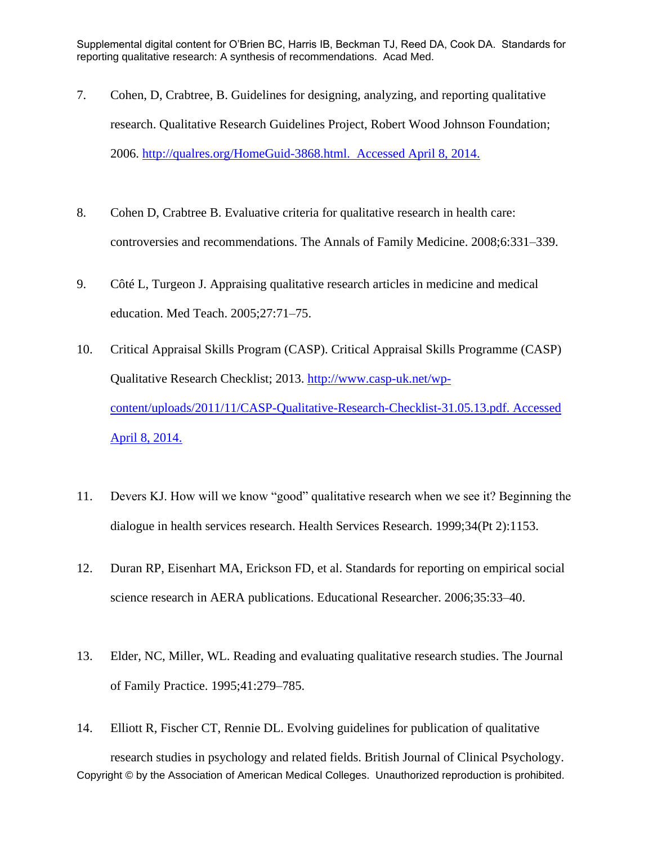- 7. Cohen, D, Crabtree, B. Guidelines for designing, analyzing, and reporting qualitative research. Qualitative Research Guidelines Project, Robert Wood Johnson Foundation; 2006. [http://qualres.org/HomeGuid-3868.html.](http://qualres.org/HomeGuid-3868.html) Accessed April 8, 2014.
- 8. Cohen D, Crabtree B. Evaluative criteria for qualitative research in health care: controversies and recommendations. The Annals of Family Medicine. 2008;6:331–339.
- 9. Côté L, Turgeon J. Appraising qualitative research articles in medicine and medical education. Med Teach. 2005;27:71–75.
- 10. Critical Appraisal Skills Program (CASP). Critical Appraisal Skills Programme (CASP) Qualitative Research Checklist; 2013. [http://www.casp-uk.net/wp](http://www.casp-uk.net/wp-content/uploads/2011/11/CASP-Qualitative-Research-Checklist-31.05.13.pdf)[content/uploads/2011/11/CASP-Qualitative-Research-Checklist-31.05.13.pdf.](http://www.casp-uk.net/wp-content/uploads/2011/11/CASP-Qualitative-Research-Checklist-31.05.13.pdf) Accessed April 8, 2014.
- 11. Devers KJ. How will we know "good" qualitative research when we see it? Beginning the dialogue in health services research. Health Services Research. 1999;34(Pt 2):1153.
- 12. Duran RP, Eisenhart MA, Erickson FD, et al. Standards for reporting on empirical social science research in AERA publications. Educational Researcher. 2006;35:33–40.
- 13. Elder, NC, Miller, WL. Reading and evaluating qualitative research studies. The Journal of Family Practice. 1995;41:279–785.
- Copyright © by the Association of American Medical Colleges. Unauthorized reproduction is prohibited. 14. Elliott R, Fischer CT, Rennie DL. Evolving guidelines for publication of qualitative research studies in psychology and related fields. British Journal of Clinical Psychology.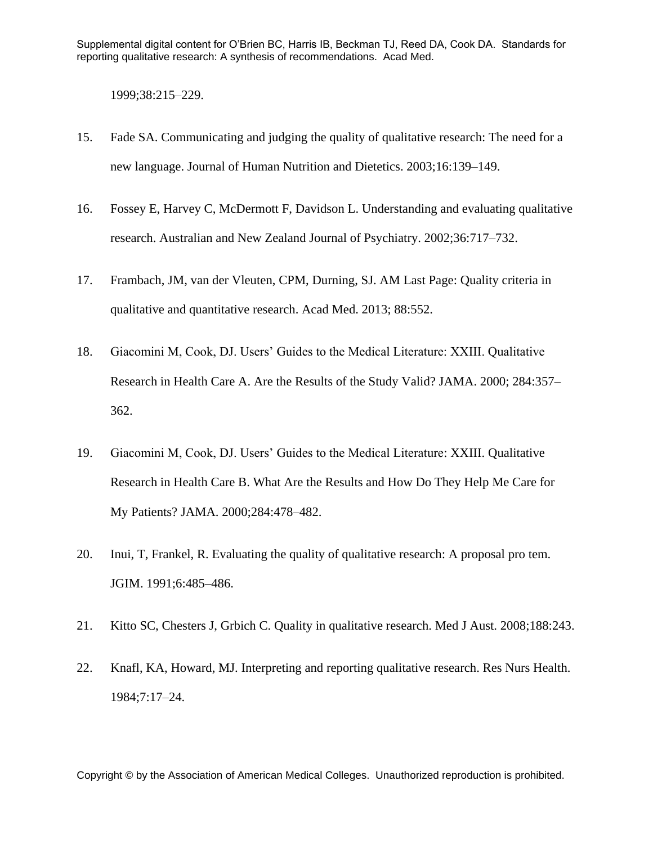1999;38:215–229.

- 15. Fade SA. Communicating and judging the quality of qualitative research: The need for a new language. Journal of Human Nutrition and Dietetics. 2003;16:139–149.
- 16. Fossey E, Harvey C, McDermott F, Davidson L. Understanding and evaluating qualitative research. Australian and New Zealand Journal of Psychiatry. 2002;36:717–732.
- 17. Frambach, JM, van der Vleuten, CPM, Durning, SJ. AM Last Page: Quality criteria in qualitative and quantitative research. Acad Med. 2013; 88:552.
- 18. Giacomini M, Cook, DJ. Users' Guides to the Medical Literature: XXIII. Qualitative Research in Health Care A. Are the Results of the Study Valid? JAMA. 2000; 284:357– 362.
- 19. Giacomini M, Cook, DJ. Users' Guides to the Medical Literature: XXIII. Qualitative Research in Health Care B. What Are the Results and How Do They Help Me Care for My Patients? JAMA. 2000;284:478–482.
- 20. Inui, T, Frankel, R. Evaluating the quality of qualitative research: A proposal pro tem. JGIM. 1991;6:485–486.
- 21. Kitto SC, Chesters J, Grbich C. Quality in qualitative research. Med J Aust. 2008;188:243.
- 22. Knafl, KA, Howard, MJ. Interpreting and reporting qualitative research. Res Nurs Health. 1984;7:17–24.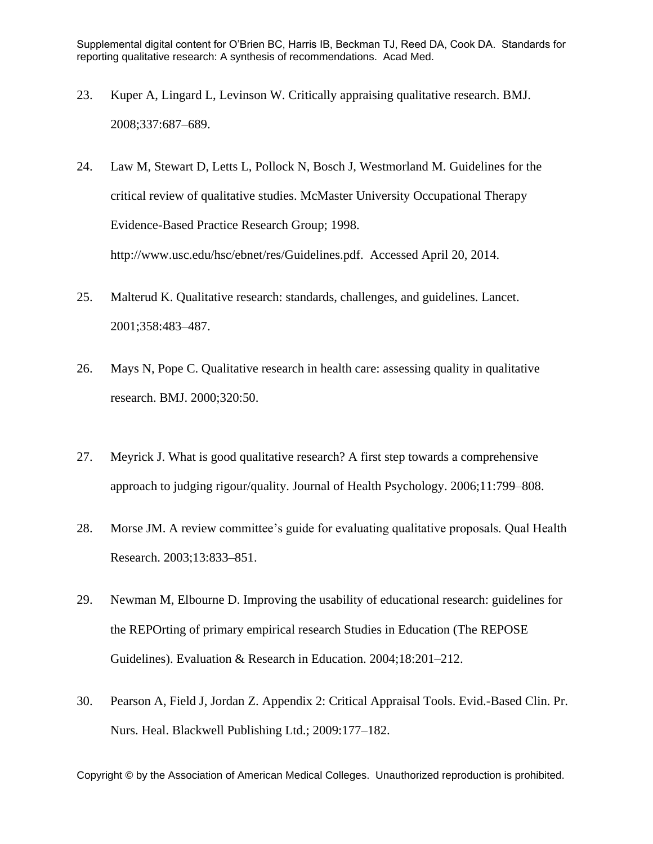- 23. Kuper A, Lingard L, Levinson W. Critically appraising qualitative research. BMJ. 2008;337:687–689.
- 24. Law M, Stewart D, Letts L, Pollock N, Bosch J, Westmorland M. Guidelines for the critical review of qualitative studies. McMaster University Occupational Therapy Evidence-Based Practice Research Group; 1998. http://www.usc.edu/hsc/ebnet/res/Guidelines.pdf. Accessed April 20, 2014.
- 25. Malterud K. Qualitative research: standards, challenges, and guidelines. Lancet. 2001;358:483–487.
- 26. Mays N, Pope C. Qualitative research in health care: assessing quality in qualitative research. BMJ. 2000;320:50.
- 27. Meyrick J. What is good qualitative research? A first step towards a comprehensive approach to judging rigour/quality. Journal of Health Psychology. 2006;11:799–808.
- 28. Morse JM. A review committee's guide for evaluating qualitative proposals. Qual Health Research. 2003;13:833–851.
- 29. Newman M, Elbourne D. Improving the usability of educational research: guidelines for the REPOrting of primary empirical research Studies in Education (The REPOSE Guidelines). Evaluation & Research in Education. 2004;18:201–212.
- 30. Pearson A, Field J, Jordan Z. Appendix 2: Critical Appraisal Tools. Evid.-Based Clin. Pr. Nurs. Heal. Blackwell Publishing Ltd.; 2009:177–182.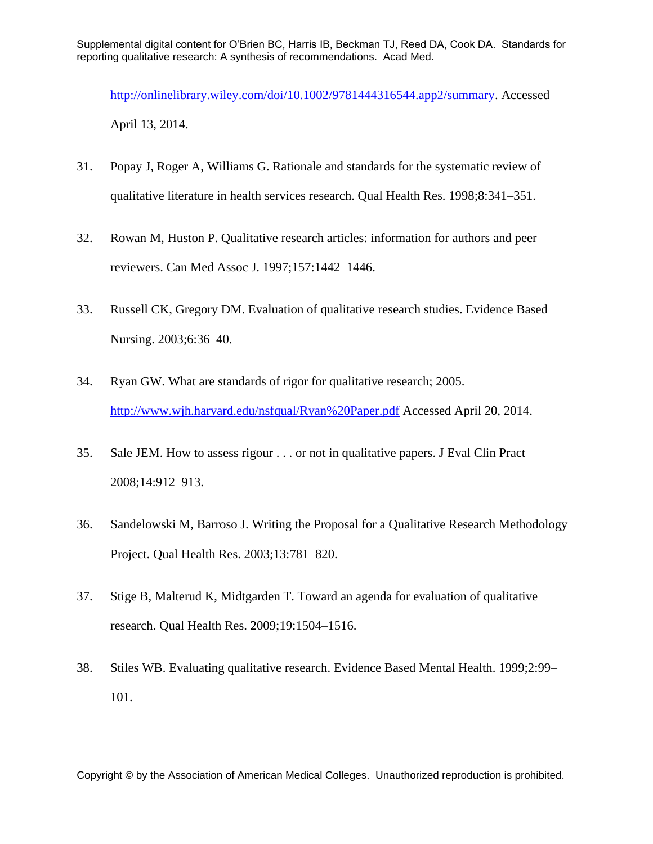[http://onlinelibrary.wiley.com/doi/10.1002/9781444316544.app2/summary.](http://onlinelibrary.wiley.com/doi/10.1002/9781444316544.app2/summary) Accessed April 13, 2014.

- 31. Popay J, Roger A, Williams G. Rationale and standards for the systematic review of qualitative literature in health services research. Qual Health Res. 1998;8:341–351.
- 32. Rowan M, Huston P. Qualitative research articles: information for authors and peer reviewers. Can Med Assoc J. 1997;157:1442–1446.
- 33. Russell CK, Gregory DM. Evaluation of qualitative research studies. Evidence Based Nursing. 2003;6:36–40.
- 34. Ryan GW. What are standards of rigor for qualitative research; 2005. <http://www.wjh.harvard.edu/nsfqual/Ryan%20Paper.pdf> Accessed April 20, 2014.
- 35. Sale JEM. How to assess rigour . . . or not in qualitative papers. J Eval Clin Pract 2008;14:912–913.
- 36. Sandelowski M, Barroso J. Writing the Proposal for a Qualitative Research Methodology Project. Qual Health Res. 2003;13:781–820.
- 37. Stige B, Malterud K, Midtgarden T. Toward an agenda for evaluation of qualitative research. Qual Health Res. 2009;19:1504–1516.
- 38. Stiles WB. Evaluating qualitative research. Evidence Based Mental Health. 1999;2:99– 101.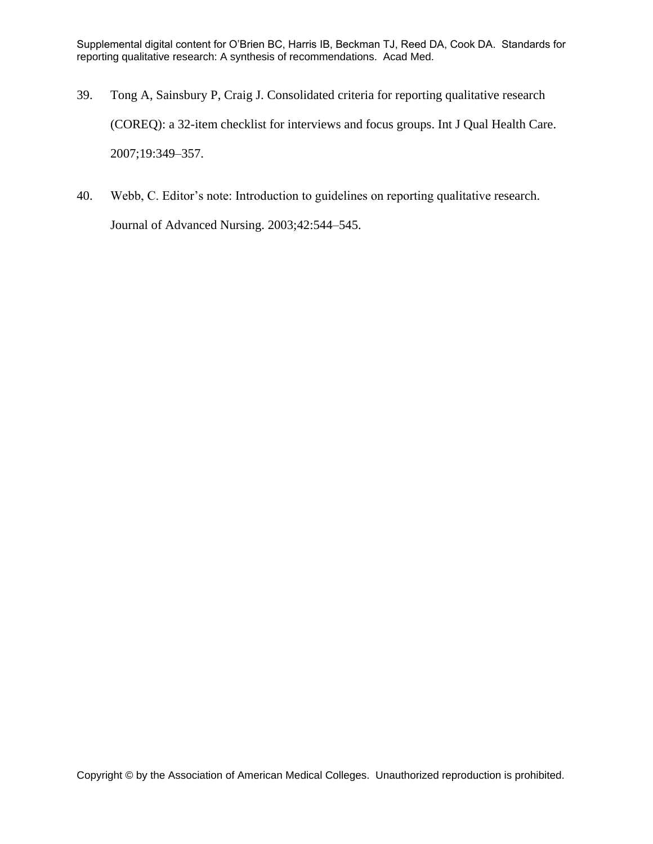- 39. Tong A, Sainsbury P, Craig J. Consolidated criteria for reporting qualitative research (COREQ): a 32-item checklist for interviews and focus groups. Int J Qual Health Care. 2007;19:349–357.
- 40. Webb, C. Editor's note: Introduction to guidelines on reporting qualitative research. Journal of Advanced Nursing. 2003;42:544–545.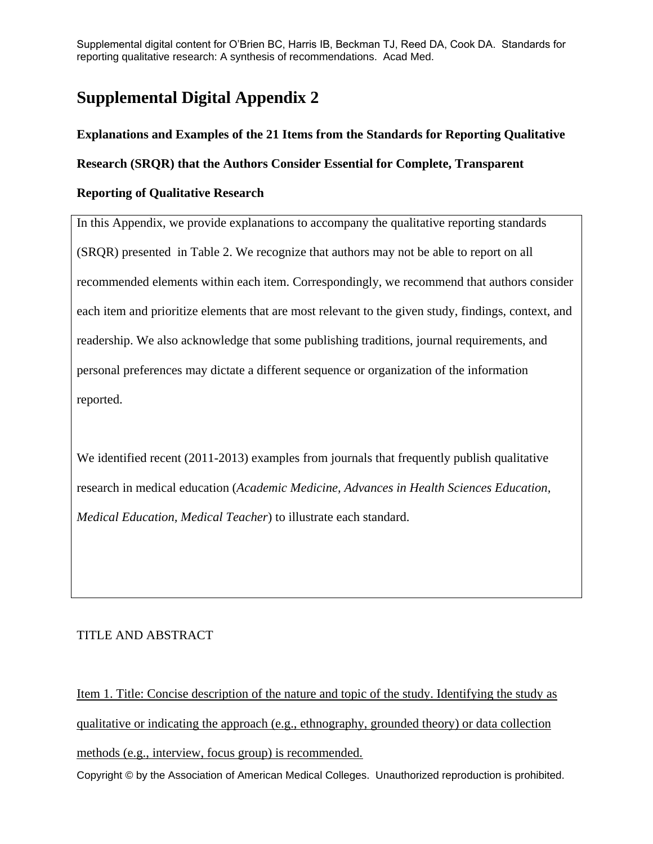# **Supplemental Digital Appendix 2**

# **Explanations and Examples of the 21 Items from the Standards for Reporting Qualitative**

**Research (SRQR) that the Authors Consider Essential for Complete, Transparent** 

## **Reporting of Qualitative Research**

In this Appendix, we provide explanations to accompany the qualitative reporting standards (SRQR) presented in Table 2. We recognize that authors may not be able to report on all recommended elements within each item. Correspondingly, we recommend that authors consider each item and prioritize elements that are most relevant to the given study, findings, context, and readership. We also acknowledge that some publishing traditions, journal requirements, and personal preferences may dictate a different sequence or organization of the information reported.

We identified recent (2011-2013) examples from journals that frequently publish qualitative research in medical education (*Academic Medicine, Advances in Health Sciences Education, Medical Education, Medical Teacher*) to illustrate each standard.

## TITLE AND ABSTRACT

Copyright © by the Association of American Medical Colleges. Unauthorized reproduction is prohibited. Item 1. Title: Concise description of the nature and topic of the study. Identifying the study as qualitative or indicating the approach (e.g., ethnography, grounded theory) or data collection methods (e.g., interview, focus group) is recommended.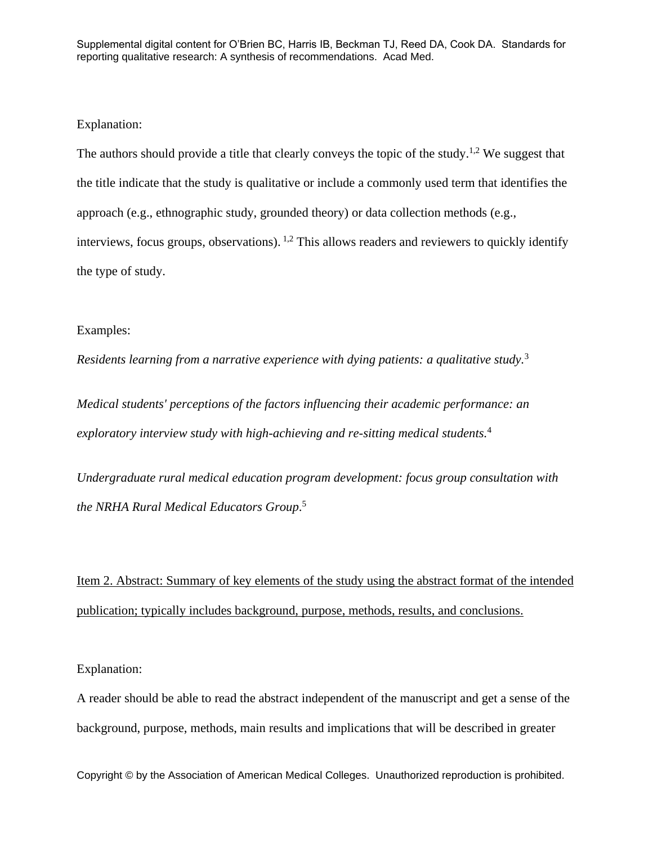#### Explanation:

The authors should provide a title that clearly conveys the topic of the study.<sup>1,2</sup> We suggest that the title indicate that the study is qualitative or include a commonly used term that identifies the approach (e.g., ethnographic study, grounded theory) or data collection methods (e.g., interviews, focus groups, observations). 1,2 This allows readers and reviewers to quickly identify the type of study.

#### Examples:

*Residents learning from a narrative experience with dying patients: a qualitative study.*<sup>3</sup>

*Medical students' perceptions of the factors influencing their academic performance: an exploratory interview study with high-achieving and re-sitting medical students.*<sup>4</sup>

*Undergraduate rural medical education program development: focus group consultation with the NRHA Rural Medical Educators Group*. 5

Item 2. Abstract: Summary of key elements of the study using the abstract format of the intended publication; typically includes background, purpose, methods, results, and conclusions.

Explanation:

A reader should be able to read the abstract independent of the manuscript and get a sense of the background, purpose, methods, main results and implications that will be described in greater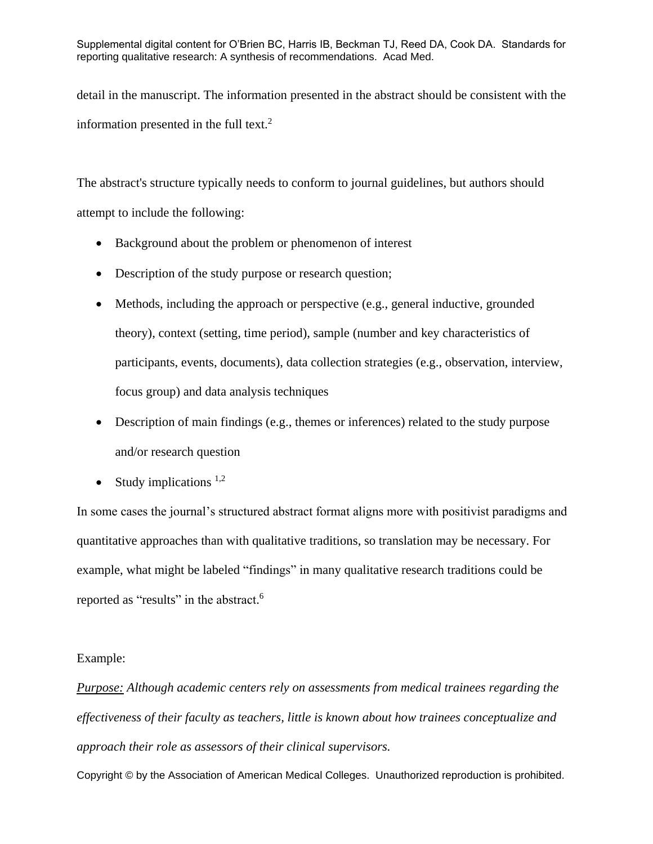detail in the manuscript. The information presented in the abstract should be consistent with the information presented in the full text. $2$ 

The abstract's structure typically needs to conform to journal guidelines, but authors should attempt to include the following:

- Background about the problem or phenomenon of interest
- Description of the study purpose or research question;
- Methods, including the approach or perspective (e.g., general inductive, grounded theory), context (setting, time period), sample (number and key characteristics of participants, events, documents), data collection strategies (e.g., observation, interview, focus group) and data analysis techniques
- Description of main findings (e.g., themes or inferences) related to the study purpose and/or research question
- Study implications  $1,2$

In some cases the journal's structured abstract format aligns more with positivist paradigms and quantitative approaches than with qualitative traditions, so translation may be necessary. For example, what might be labeled "findings" in many qualitative research traditions could be reported as "results" in the abstract.<sup>6</sup>

#### Example:

*Purpose: Although academic centers rely on assessments from medical trainees regarding the effectiveness of their faculty as teachers, little is known about how trainees conceptualize and approach their role as assessors of their clinical supervisors.*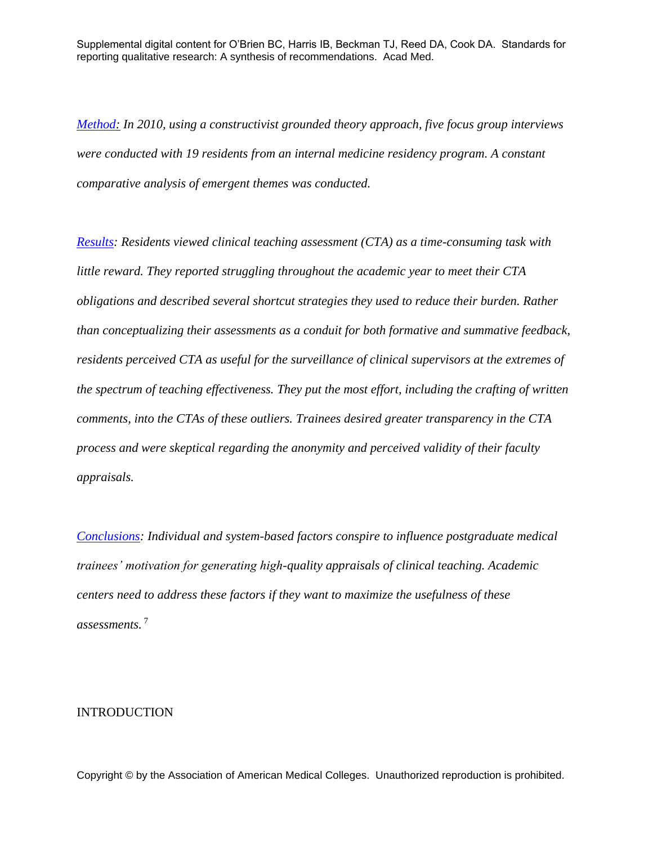*[Method:](http://ovidsp.tx.ovid.com/sp-3.10.0b/ovidweb.cgi?&S=HLLHFPMJIKDDFFICNCNKGFOBNOLMAA00&Link+Set=S.sh.22.24%7c23%7csl_10#21) In 2010, using a constructivist grounded theory approach, five focus group interviews were conducted with 19 residents from an internal medicine residency program. A constant comparative analysis of emergent themes was conducted.*

*[Results:](http://ovidsp.tx.ovid.com/sp-3.10.0b/ovidweb.cgi?&S=HLLHFPMJIKDDFFICNCNKGFOBNOLMAA00&Link+Set=S.sh.22.24%7c23%7csl_10#24) Residents viewed clinical teaching assessment (CTA) as a time-consuming task with little reward. They reported struggling throughout the academic year to meet their CTA obligations and described several shortcut strategies they used to reduce their burden. Rather than conceptualizing their assessments as a conduit for both formative and summative feedback, residents perceived CTA as useful for the surveillance of clinical supervisors at the extremes of the spectrum of teaching effectiveness. They put the most effort, including the crafting of written comments, into the CTAs of these outliers. Trainees desired greater transparency in the CTA process and were skeptical regarding the anonymity and perceived validity of their faculty appraisals.*

*[Conclusions:](http://ovidsp.tx.ovid.com/sp-3.10.0b/ovidweb.cgi?&S=HLLHFPMJIKDDFFICNCNKGFOBNOLMAA00&Link+Set=S.sh.22.24%7c23%7csl_10#64) Individual and system-based factors conspire to influence postgraduate medical trainees' motivation for generating high-quality appraisals of clinical teaching. Academic centers need to address these factors if they want to maximize the usefulness of these assessments.* <sup>7</sup>

#### INTRODUCTION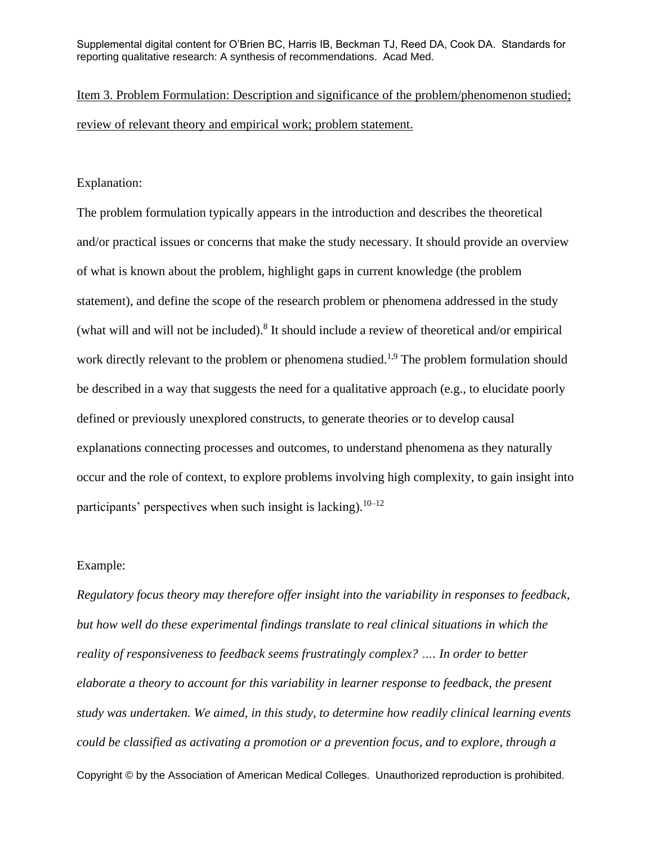Item 3. Problem Formulation: Description and significance of the problem/phenomenon studied; review of relevant theory and empirical work; problem statement.

#### Explanation:

The problem formulation typically appears in the introduction and describes the theoretical and/or practical issues or concerns that make the study necessary. It should provide an overview of what is known about the problem, highlight gaps in current knowledge (the problem statement), and define the scope of the research problem or phenomena addressed in the study (what will and will not be included).<sup>8</sup> It should include a review of theoretical and/or empirical work directly relevant to the problem or phenomena studied.<sup>1,9</sup> The problem formulation should be described in a way that suggests the need for a qualitative approach (e.g., to elucidate poorly defined or previously unexplored constructs, to generate theories or to develop causal explanations connecting processes and outcomes, to understand phenomena as they naturally occur and the role of context, to explore problems involving high complexity, to gain insight into participants' perspectives when such insight is lacking).<sup>10–12</sup>

#### Example:

Copyright © by the Association of American Medical Colleges. Unauthorized reproduction is prohibited. *Regulatory focus theory may therefore offer insight into the variability in responses to feedback, but how well do these experimental findings translate to real clinical situations in which the reality of responsiveness to feedback seems frustratingly complex? …. In order to better elaborate a theory to account for this variability in learner response to feedback, the present study was undertaken. We aimed, in this study, to determine how readily clinical learning events could be classified as activating a promotion or a prevention focus, and to explore, through a*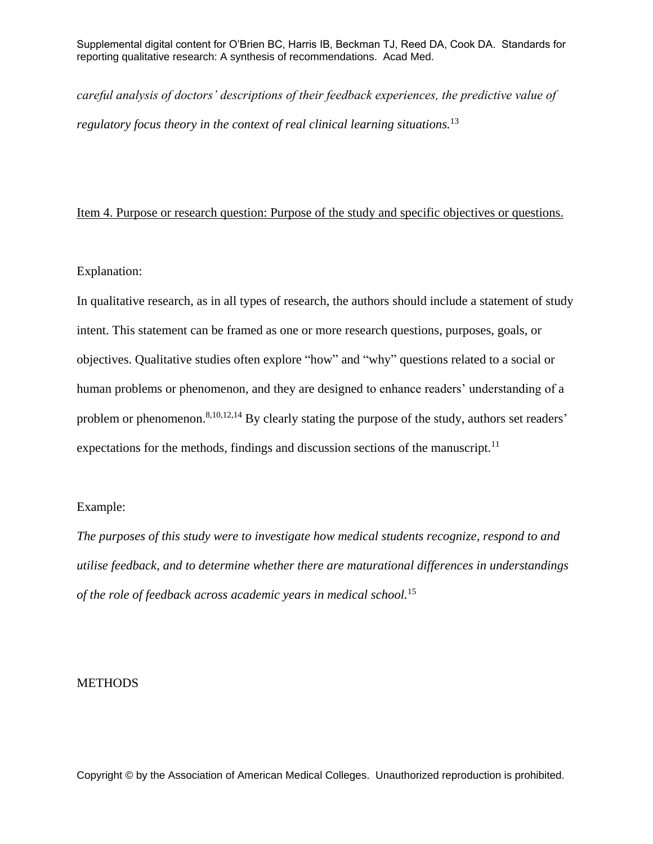*careful analysis of doctors' descriptions of their feedback experiences, the predictive value of regulatory focus theory in the context of real clinical learning situations.*<sup>13</sup>

#### Item 4. Purpose or research question: Purpose of the study and specific objectives or questions.

### Explanation:

In qualitative research, as in all types of research, the authors should include a statement of study intent. This statement can be framed as one or more research questions, purposes, goals, or objectives. Qualitative studies often explore "how" and "why" questions related to a social or human problems or phenomenon, and they are designed to enhance readers' understanding of a problem or phenomenon.<sup>8,10,12,14</sup> By clearly stating the purpose of the study, authors set readers' expectations for the methods, findings and discussion sections of the manuscript.<sup>11</sup>

#### Example:

*The purposes of this study were to investigate how medical students recognize, respond to and utilise feedback, and to determine whether there are maturational differences in understandings of the role of feedback across academic years in medical school.*<sup>15</sup>

#### **METHODS**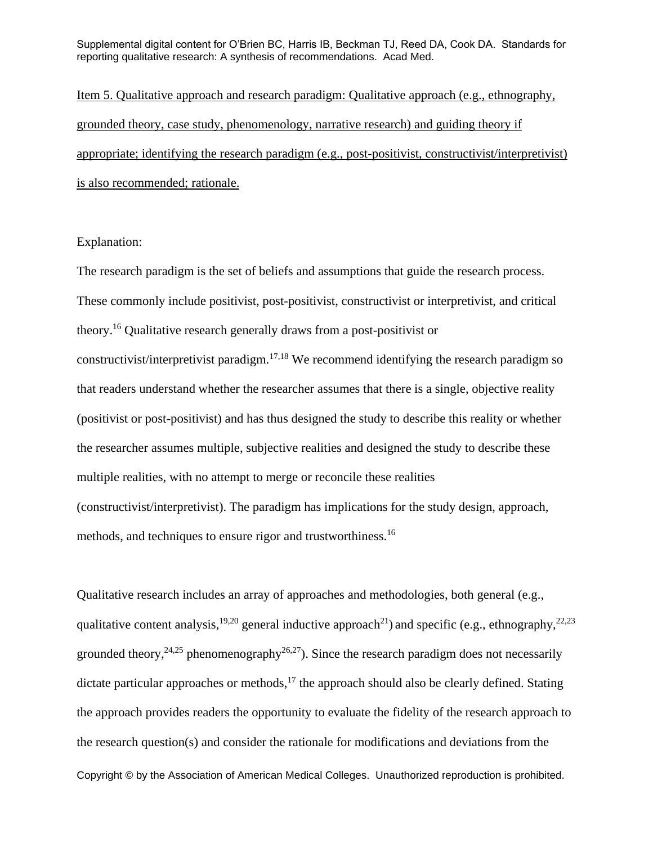Item 5. Qualitative approach and research paradigm: Qualitative approach (e.g., ethnography, grounded theory, case study, phenomenology, narrative research) and guiding theory if appropriate; identifying the research paradigm (e.g., post-positivist, constructivist/interpretivist) is also recommended; rationale.

#### Explanation:

The research paradigm is the set of beliefs and assumptions that guide the research process. These commonly include positivist, post-positivist, constructivist or interpretivist, and critical theory.<sup>16</sup> Qualitative research generally draws from a post-positivist or constructivist/interpretivist paradigm.<sup>17,18</sup> We recommend identifying the research paradigm so that readers understand whether the researcher assumes that there is a single, objective reality (positivist or post-positivist) and has thus designed the study to describe this reality or whether the researcher assumes multiple, subjective realities and designed the study to describe these multiple realities, with no attempt to merge or reconcile these realities (constructivist/interpretivist). The paradigm has implications for the study design, approach, methods, and techniques to ensure rigor and trustworthiness.<sup>16</sup>

Copyright © by the Association of American Medical Colleges. Unauthorized reproduction is prohibited. Qualitative research includes an array of approaches and methodologies, both general (e.g., qualitative content analysis,  $19,20$  general inductive approach<sup>21</sup>) and specific (e.g., ethnography,  $22,23$ ) grounded theory,  $24.25$  phenomenography  $26.27$ ). Since the research paradigm does not necessarily dictate particular approaches or methods, $17$  the approach should also be clearly defined. Stating the approach provides readers the opportunity to evaluate the fidelity of the research approach to the research question(s) and consider the rationale for modifications and deviations from the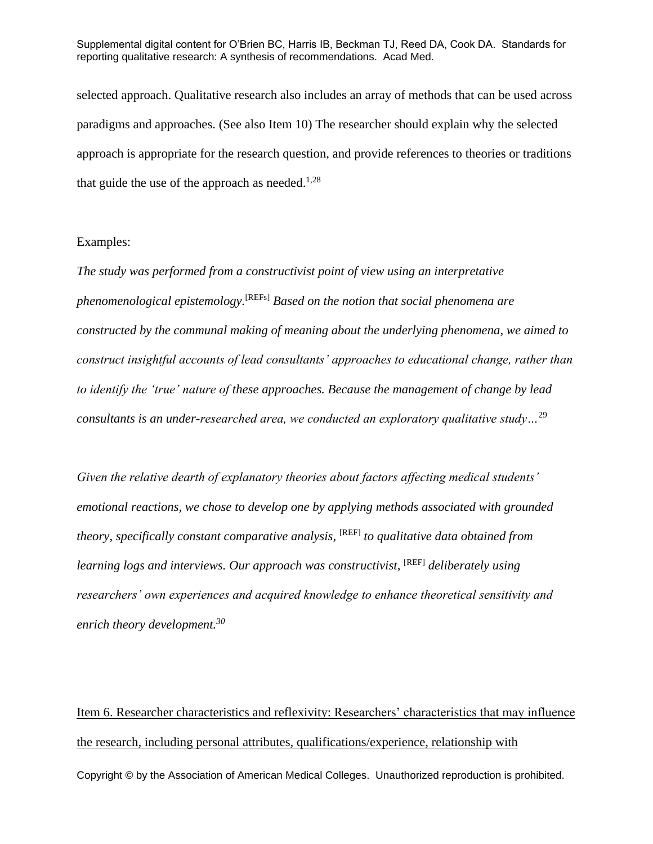selected approach. Qualitative research also includes an array of methods that can be used across paradigms and approaches. (See also Item 10) The researcher should explain why the selected approach is appropriate for the research question, and provide references to theories or traditions that guide the use of the approach as needed. $1,28$ 

#### Examples:

*The study was performed from a constructivist point of view using an interpretative phenomenological epistemology.*[\[REFs\]](http://onlinelibrary.wiley.com/doi/10.1111/j.1365-2923.2011.04175.x/full#b26) *Based on the notion that social phenomena are constructed by the communal making of meaning about the underlying phenomena, we aimed to construct insightful accounts of lead consultants' approaches to educational change, rather than to identify the 'true' nature of these approaches. Because the management of change by lead consultants is an under-researched area, we conducted an exploratory qualitative study…*<sup>29</sup>

*Given the relative dearth of explanatory theories about factors affecting medical students' emotional reactions, we chose to develop one by applying methods associated with grounded theory, specifically constant comparative analysis,* [REF] *to qualitative data obtained from learning logs and interviews. Our approach was constructivist,* [REF] *deliberately using researchers' own experiences and acquired knowledge to enhance theoretical sensitivity and enrich theory development.<sup>30</sup>*

Copyright © by the Association of American Medical Colleges. Unauthorized reproduction is prohibited. Item 6. Researcher characteristics and reflexivity: Researchers' characteristics that may influence the research, including personal attributes, qualifications/experience, relationship with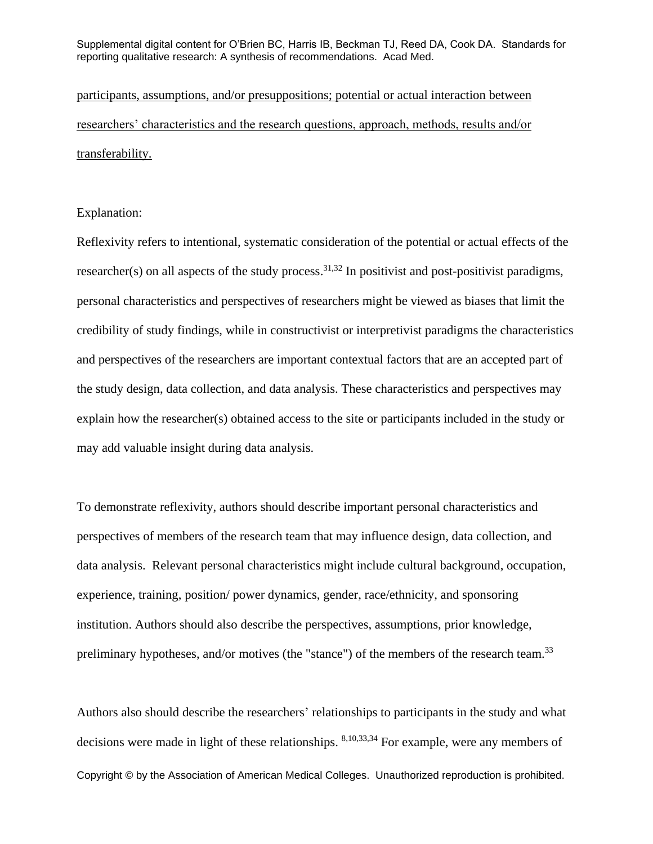participants, assumptions, and/or presuppositions; potential or actual interaction between researchers' characteristics and the research questions, approach, methods, results and/or transferability.

#### Explanation:

Reflexivity refers to intentional, systematic consideration of the potential or actual effects of the researcher(s) on all aspects of the study process.<sup>31,32</sup> In positivist and post-positivist paradigms, personal characteristics and perspectives of researchers might be viewed as biases that limit the credibility of study findings, while in constructivist or interpretivist paradigms the characteristics and perspectives of the researchers are important contextual factors that are an accepted part of the study design, data collection, and data analysis. These characteristics and perspectives may explain how the researcher(s) obtained access to the site or participants included in the study or may add valuable insight during data analysis.

To demonstrate reflexivity, authors should describe important personal characteristics and perspectives of members of the research team that may influence design, data collection, and data analysis. Relevant personal characteristics might include cultural background, occupation, experience, training, position/ power dynamics, gender, race/ethnicity, and sponsoring institution. Authors should also describe the perspectives, assumptions, prior knowledge, preliminary hypotheses, and/or motives (the "stance") of the members of the research team.<sup>33</sup>

Copyright © by the Association of American Medical Colleges. Unauthorized reproduction is prohibited. Authors also should describe the researchers' relationships to participants in the study and what decisions were made in light of these relationships. <sup>8,10,33,34</sup> For example, were any members of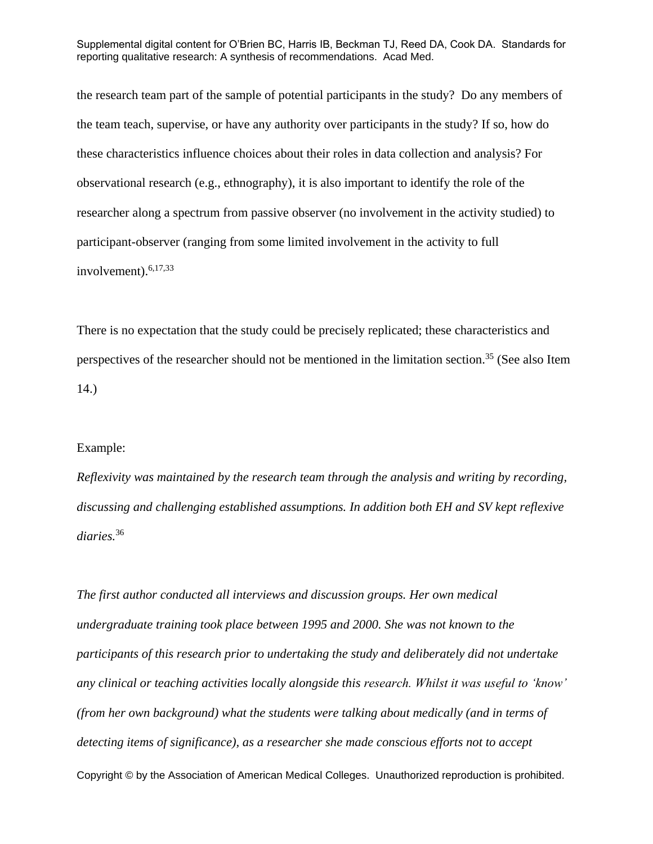the research team part of the sample of potential participants in the study? Do any members of the team teach, supervise, or have any authority over participants in the study? If so, how do these characteristics influence choices about their roles in data collection and analysis? For observational research (e.g., ethnography), it is also important to identify the role of the researcher along a spectrum from passive observer (no involvement in the activity studied) to participant-observer (ranging from some limited involvement in the activity to full involvement). $6,17,33$ 

There is no expectation that the study could be precisely replicated; these characteristics and perspectives of the researcher should not be mentioned in the limitation section.<sup>35</sup> (See also Item 14.)

#### Example:

*Reflexivity was maintained by the research team through the analysis and writing by recording, discussing and challenging established assumptions. In addition both EH and SV kept reflexive diaries.*<sup>36</sup>

Copyright © by the Association of American Medical Colleges. Unauthorized reproduction is prohibited. *The first author conducted all interviews and discussion groups. Her own medical undergraduate training took place between 1995 and 2000. She was not known to the participants of this research prior to undertaking the study and deliberately did not undertake any clinical or teaching activities locally alongside this research. Whilst it was useful to 'know' (from her own background) what the students were talking about medically (and in terms of detecting items of significance), as a researcher she made conscious efforts not to accept*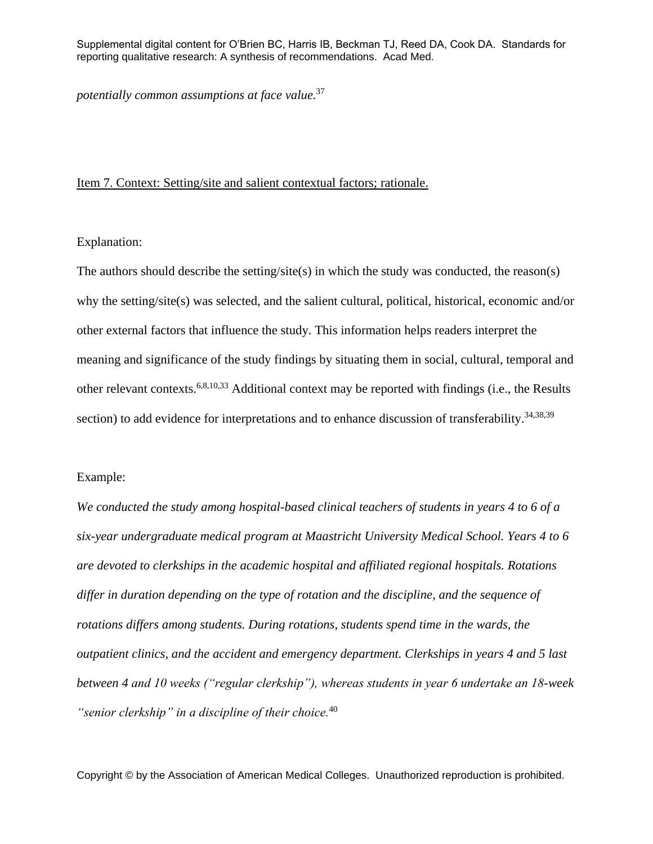*potentially common assumptions at face value.*<sup>37</sup>

#### Item 7. Context: Setting/site and salient contextual factors; rationale.

Explanation:

The authors should describe the setting/site(s) in which the study was conducted, the reason(s) why the setting/site(s) was selected, and the salient cultural, political, historical, economic and/or other external factors that influence the study. This information helps readers interpret the meaning and significance of the study findings by situating them in social, cultural, temporal and other relevant contexts.6,8,10,33 Additional context may be reported with findings (i.e., the Results section) to add evidence for interpretations and to enhance discussion of transferability.<sup>34,38,39</sup>

#### Example:

*We conducted the study among hospital-based clinical teachers of students in years 4 to 6 of a six-year undergraduate medical program at Maastricht University Medical School. Years 4 to 6 are devoted to clerkships in the academic hospital and affiliated regional hospitals. Rotations differ in duration depending on the type of rotation and the discipline, and the sequence of rotations differs among students. During rotations, students spend time in the wards, the outpatient clinics, and the accident and emergency department. Clerkships in years 4 and 5 last between 4 and 10 weeks ("regular clerkship"), whereas students in year 6 undertake an 18-week "senior clerkship" in a discipline of their choice.*<sup>40</sup>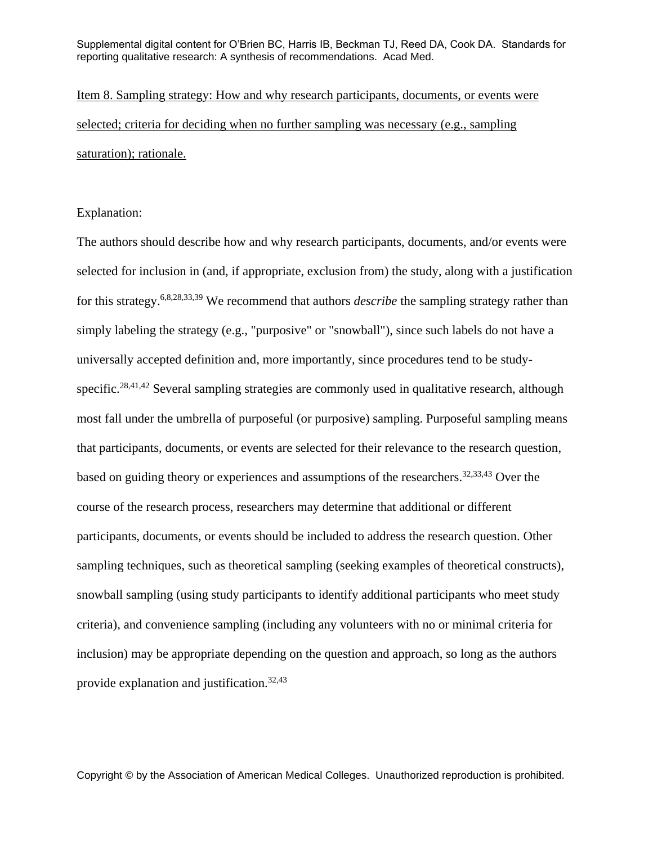Item 8. Sampling strategy: How and why research participants, documents, or events were selected; criteria for deciding when no further sampling was necessary (e.g., sampling saturation); rationale.

#### Explanation:

The authors should describe how and why research participants, documents, and/or events were selected for inclusion in (and, if appropriate, exclusion from) the study, along with a justification for this strategy.6,8,28,33,39 We recommend that authors *describe* the sampling strategy rather than simply labeling the strategy (e.g., "purposive" or "snowball"), since such labels do not have a universally accepted definition and, more importantly, since procedures tend to be studyspecific.<sup>28,41,42</sup> Several sampling strategies are commonly used in qualitative research, although most fall under the umbrella of purposeful (or purposive) sampling. Purposeful sampling means that participants, documents, or events are selected for their relevance to the research question, based on guiding theory or experiences and assumptions of the researchers. 32,33,43 Over the course of the research process, researchers may determine that additional or different participants, documents, or events should be included to address the research question. Other sampling techniques, such as theoretical sampling (seeking examples of theoretical constructs), snowball sampling (using study participants to identify additional participants who meet study criteria), and convenience sampling (including any volunteers with no or minimal criteria for inclusion) may be appropriate depending on the question and approach, so long as the authors provide explanation and justification.32,43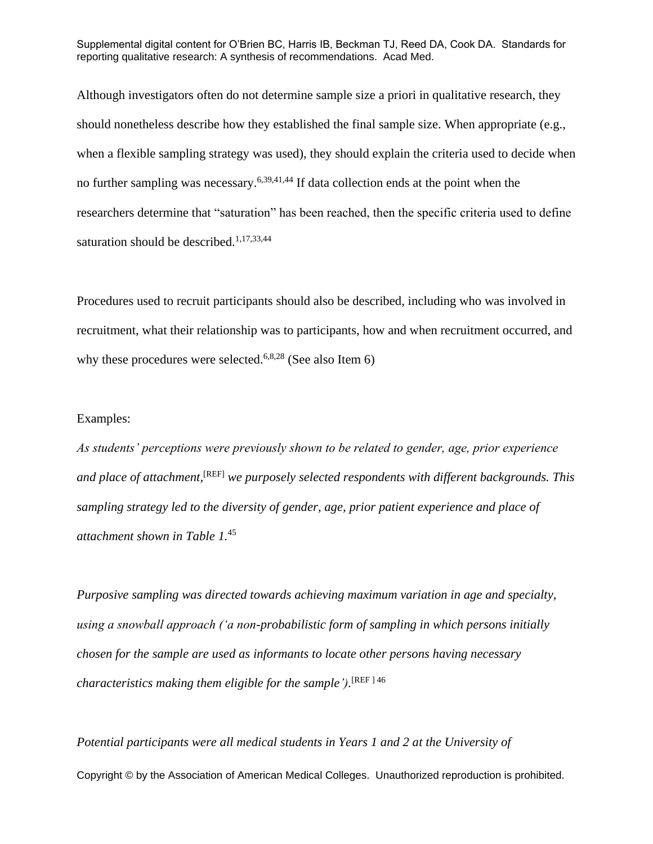Although investigators often do not determine sample size a priori in qualitative research, they should nonetheless describe how they established the final sample size. When appropriate (e.g., when a flexible sampling strategy was used), they should explain the criteria used to decide when no further sampling was necessary.<sup>6,39,41,44</sup> If data collection ends at the point when the researchers determine that "saturation" has been reached, then the specific criteria used to define saturation should be described.<sup>1,17,33,44</sup>

Procedures used to recruit participants should also be described, including who was involved in recruitment, what their relationship was to participants, how and when recruitment occurred, and why these procedures were selected.<sup>6,8,28</sup> (See also Item 6)

#### Examples:

*As students' perceptions were previously shown to be related to gender, age, prior experience and place of attachment,*[REF] *we purposely selected respondents with different backgrounds. This sampling strategy led to the diversity of gender, age, prior patient experience and place of attachment shown in Table 1.*<sup>45</sup>

*Purposive sampling was directed towards achieving maximum variation in age and specialty, using a snowball approach ('a non-probabilistic form of sampling in which persons initially chosen for the sample are used as informants to locate other persons having necessary characteristics making them eligible for the sample').* [REF ] 46

Copyright © by the Association of American Medical Colleges. Unauthorized reproduction is prohibited. *Potential participants were all medical students in Years 1 and 2 at the University of*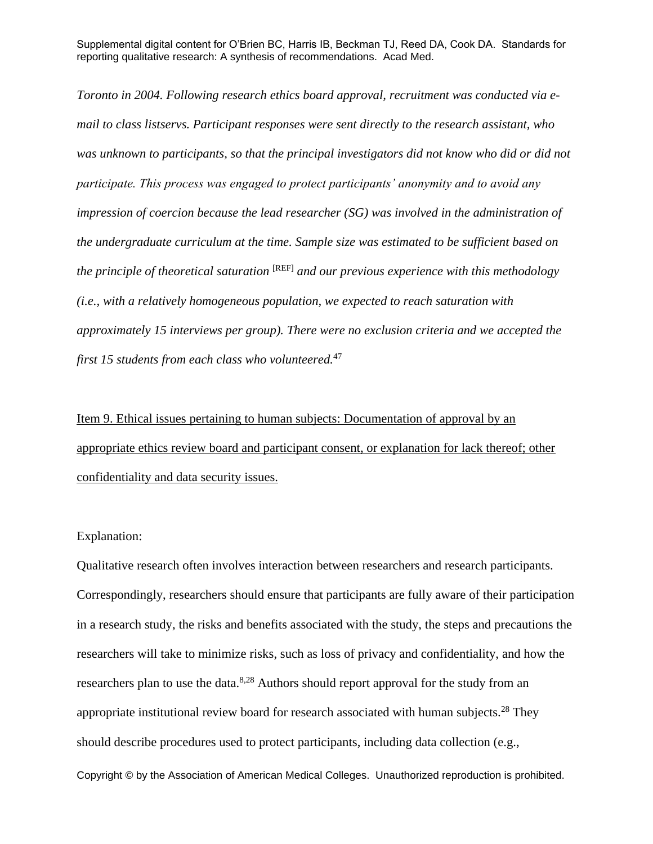*Toronto in 2004. Following research ethics board approval, recruitment was conducted via email to class listservs. Participant responses were sent directly to the research assistant, who was unknown to participants, so that the principal investigators did not know who did or did not participate. This process was engaged to protect participants' anonymity and to avoid any impression of coercion because the lead researcher (SG) was involved in the administration of the undergraduate curriculum at the time. Sample size was estimated to be sufficient based on the principle of theoretical saturation* [REF] *and our previous experience with this methodology (i.e., with a relatively homogeneous population, we expected to reach saturation with approximately 15 interviews per group). There were no exclusion criteria and we accepted the first 15 students from each class who volunteered.*<sup>47</sup>

Item 9. Ethical issues pertaining to human subjects: Documentation of approval by an appropriate ethics review board and participant consent, or explanation for lack thereof; other confidentiality and data security issues.

#### Explanation:

Qualitative research often involves interaction between researchers and research participants. Correspondingly, researchers should ensure that participants are fully aware of their participation in a research study, the risks and benefits associated with the study, the steps and precautions the researchers will take to minimize risks, such as loss of privacy and confidentiality, and how the researchers plan to use the data.<sup>8,28</sup> Authors should report approval for the study from an appropriate institutional review board for research associated with human subjects.<sup>28</sup> They should describe procedures used to protect participants, including data collection (e.g.,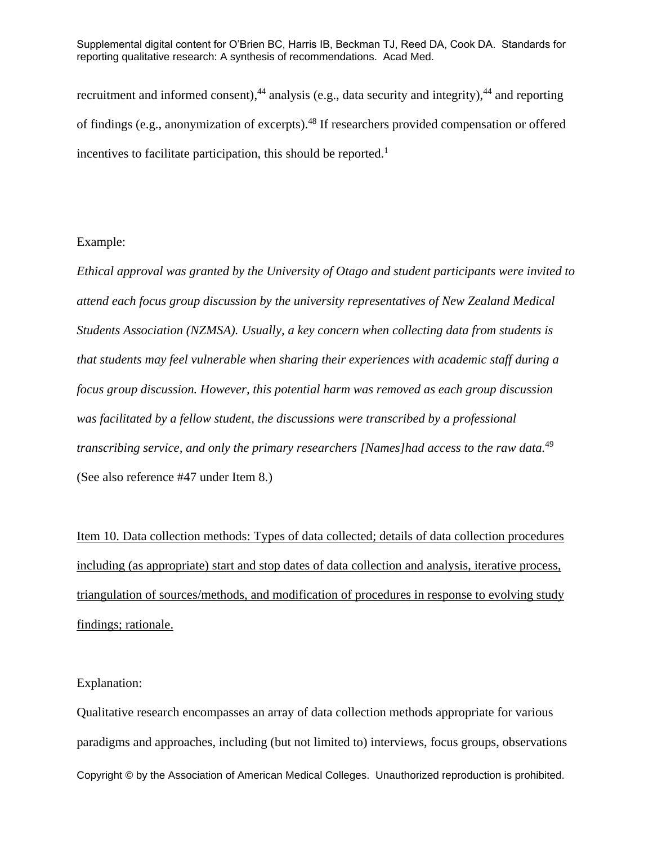recruitment and informed consent),<sup>44</sup> analysis (e.g., data security and integrity),<sup>44</sup> and reporting of findings (e.g., anonymization of excerpts).<sup>48</sup> If researchers provided compensation or offered incentives to facilitate participation, this should be reported.<sup>1</sup>

#### Example:

*Ethical approval was granted by the University of Otago and student participants were invited to attend each focus group discussion by the university representatives of New Zealand Medical Students Association (NZMSA). Usually, a key concern when collecting data from students is that students may feel vulnerable when sharing their experiences with academic staff during a focus group discussion. However, this potential harm was removed as each group discussion was facilitated by a fellow student, the discussions were transcribed by a professional transcribing service, and only the primary researchers [Names]had access to the raw data.*<sup>49</sup> (See also reference #47 under Item 8.)

Item 10. Data collection methods: Types of data collected; details of data collection procedures including (as appropriate) start and stop dates of data collection and analysis, iterative process, triangulation of sources/methods, and modification of procedures in response to evolving study findings; rationale.

#### Explanation:

Copyright © by the Association of American Medical Colleges. Unauthorized reproduction is prohibited. Qualitative research encompasses an array of data collection methods appropriate for various paradigms and approaches, including (but not limited to) interviews, focus groups, observations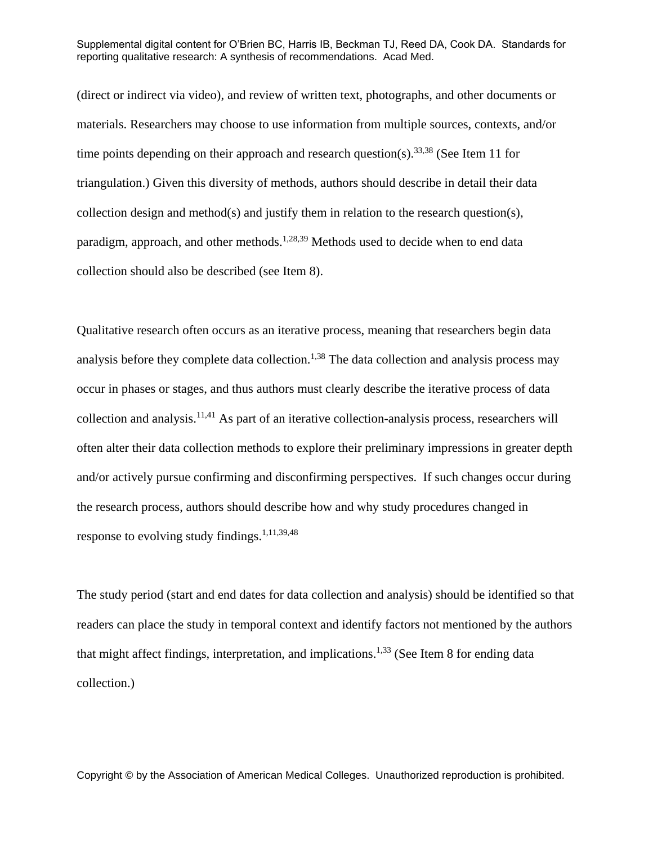(direct or indirect via video), and review of written text, photographs, and other documents or materials. Researchers may choose to use information from multiple sources, contexts, and/or time points depending on their approach and research question(s).<sup>33,38</sup> (See Item 11 for triangulation.) Given this diversity of methods, authors should describe in detail their data collection design and method(s) and justify them in relation to the research question(s), paradigm, approach, and other methods.<sup>1,28,39</sup> Methods used to decide when to end data collection should also be described (see Item 8).

Qualitative research often occurs as an iterative process, meaning that researchers begin data analysis before they complete data collection.<sup>1,38</sup> The data collection and analysis process may occur in phases or stages, and thus authors must clearly describe the iterative process of data collection and analysis.<sup>11,41</sup> As part of an iterative collection-analysis process, researchers will often alter their data collection methods to explore their preliminary impressions in greater depth and/or actively pursue confirming and disconfirming perspectives. If such changes occur during the research process, authors should describe how and why study procedures changed in response to evolving study findings.<sup>1,11,39,48</sup>

The study period (start and end dates for data collection and analysis) should be identified so that readers can place the study in temporal context and identify factors not mentioned by the authors that might affect findings, interpretation, and implications.<sup>1,33</sup> (See Item 8 for ending data collection.)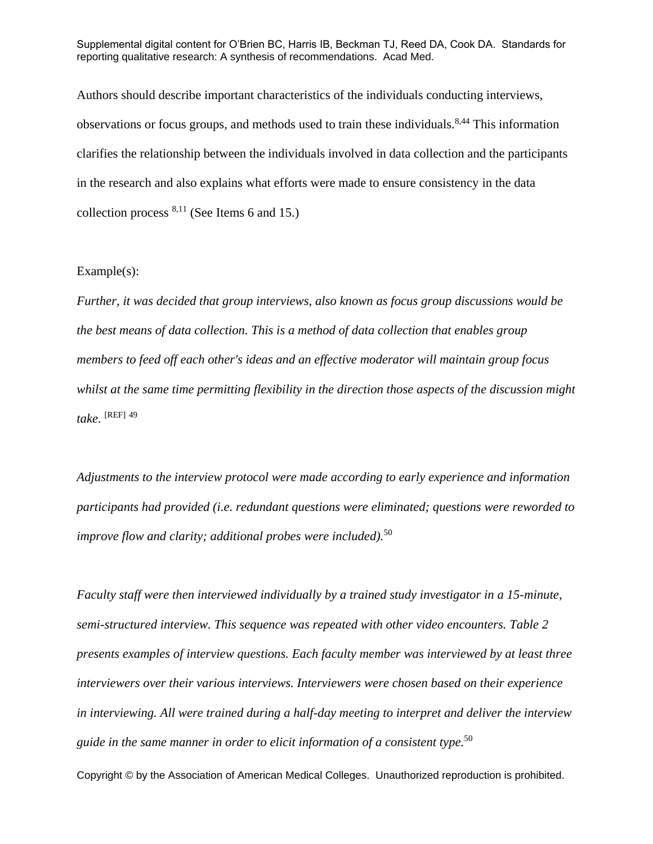Authors should describe important characteristics of the individuals conducting interviews, observations or focus groups, and methods used to train these individuals.<sup>8,44</sup> This information clarifies the relationship between the individuals involved in data collection and the participants in the research and also explains what efforts were made to ensure consistency in the data collection process  $8,11$  (See Items 6 and 15.)

#### Example(s):

*Further, it was decided that group interviews, also known as focus group discussions would be the best means of data collection. This is a method of data collection that enables group members to feed off each other's ideas and an effective moderator will maintain group focus whilst at the same time permitting flexibility in the direction those aspects of the discussion might take.* [REF] 49

*Adjustments to the interview protocol were made according to early experience and information participants had provided (i.e. redundant questions were eliminated; questions were reworded to improve flow and clarity; additional probes were included).*<sup>50</sup>

*Faculty staff were then interviewed individually by a trained study investigator in a 15-minute, semi-structured interview. This sequence was repeated with other video encounters. [Table](http://onlinelibrary.wiley.com/doi/10.1111/j.1365-2923.2011.04137.x/full#t2) 2 presents examples of interview questions. Each faculty member was interviewed by at least three interviewers over their various interviews. Interviewers were chosen based on their experience in interviewing. All were trained during a half-day meeting to interpret and deliver the interview guide in the same manner in order to elicit information of a consistent type.*<sup>50</sup>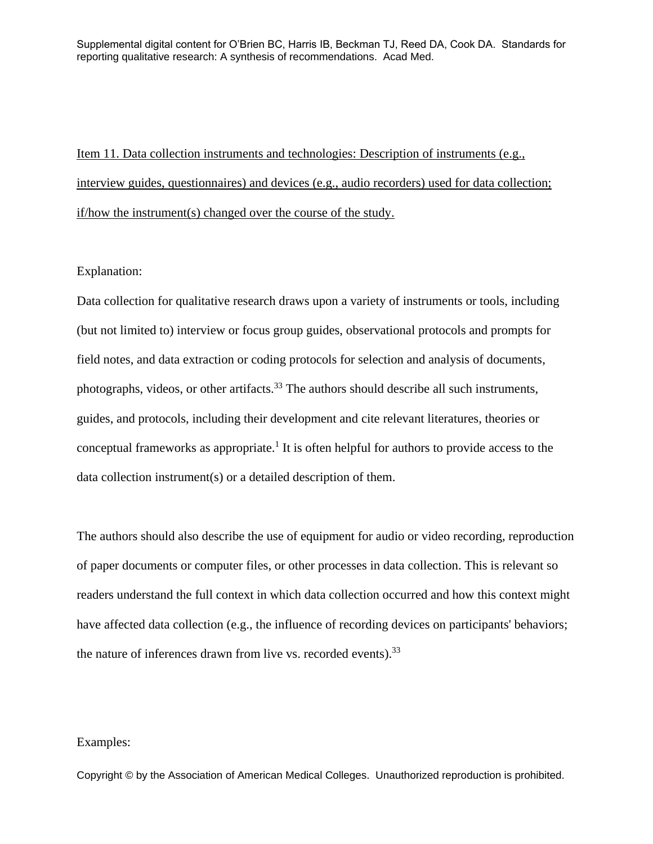Item 11. Data collection instruments and technologies: Description of instruments (e.g., interview guides, questionnaires) and devices (e.g., audio recorders) used for data collection; if/how the instrument(s) changed over the course of the study.

#### Explanation:

Data collection for qualitative research draws upon a variety of instruments or tools, including (but not limited to) interview or focus group guides, observational protocols and prompts for field notes, and data extraction or coding protocols for selection and analysis of documents, photographs, videos, or other artifacts.<sup>33</sup> The authors should describe all such instruments, guides, and protocols, including their development and cite relevant literatures, theories or conceptual frameworks as appropriate.<sup>1</sup> It is often helpful for authors to provide access to the data collection instrument(s) or a detailed description of them.

The authors should also describe the use of equipment for audio or video recording, reproduction of paper documents or computer files, or other processes in data collection. This is relevant so readers understand the full context in which data collection occurred and how this context might have affected data collection (e.g., the influence of recording devices on participants' behaviors; the nature of inferences drawn from live vs. recorded events). $33$ 

#### Examples: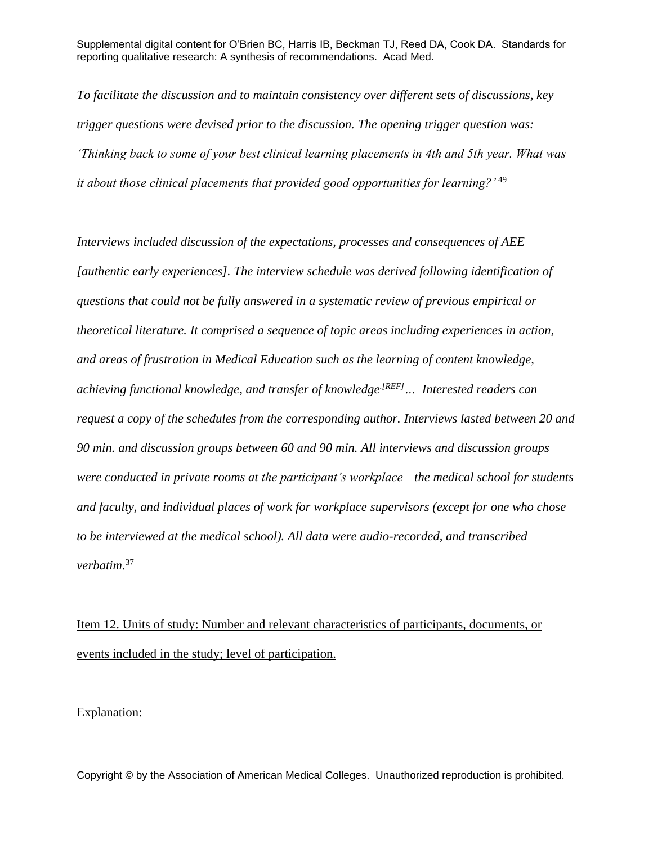*To facilitate the discussion and to maintain consistency over different sets of discussions, key trigger questions were devised prior to the discussion. The opening trigger question was: 'Thinking back to some of your best clinical learning placements in 4th and 5th year. What was it about those clinical placements that provided good opportunities for learning?'* <sup>49</sup>

*Interviews included discussion of the expectations, processes and consequences of AEE [authentic early experiences]. The interview schedule was derived following identification of questions that could not be fully answered in a systematic review of previous empirical or theoretical literature. It comprised a sequence of topic areas including experiences in action, and areas of frustration in Medical Education such as the learning of content knowledge, achieving functional knowledge, and transfer of knowledge<sup>[REF]</sup> … Interested readers can request a copy of the schedules from the corresponding author. Interviews lasted between 20 and 90 min. and discussion groups between 60 and 90 min. All interviews and discussion groups were conducted in private rooms at the participant's workplace—the medical school for students and faculty, and individual places of work for workplace supervisors (except for one who chose to be interviewed at the medical school). All data were audio-recorded, and transcribed verbatim.*<sup>37</sup>

# Item 12. Units of study: Number and relevant characteristics of participants, documents, or events included in the study; level of participation.

Explanation: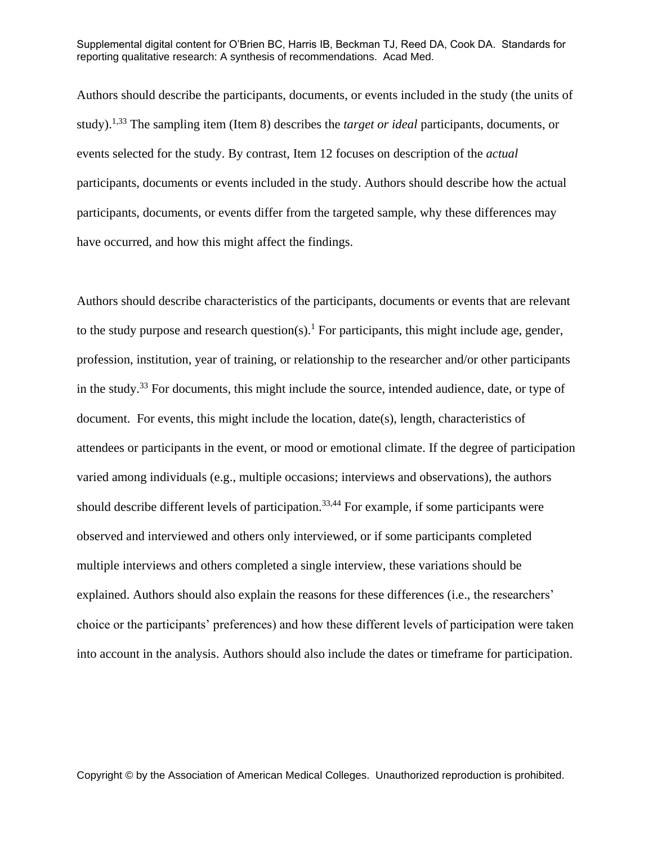Authors should describe the participants, documents, or events included in the study (the units of study). 1,33 The sampling item (Item 8) describes the *target or ideal* participants, documents, or events selected for the study. By contrast, Item 12 focuses on description of the *actual* participants, documents or events included in the study. Authors should describe how the actual participants, documents, or events differ from the targeted sample, why these differences may have occurred, and how this might affect the findings.

Authors should describe characteristics of the participants, documents or events that are relevant to the study purpose and research question(s).<sup>1</sup> For participants, this might include age, gender, profession, institution, year of training, or relationship to the researcher and/or other participants in the study.<sup>33</sup> For documents, this might include the source, intended audience, date, or type of document. For events, this might include the location, date(s), length, characteristics of attendees or participants in the event, or mood or emotional climate. If the degree of participation varied among individuals (e.g., multiple occasions; interviews and observations), the authors should describe different levels of participation.<sup>33,44</sup> For example, if some participants were observed and interviewed and others only interviewed, or if some participants completed multiple interviews and others completed a single interview, these variations should be explained. Authors should also explain the reasons for these differences (i.e., the researchers' choice or the participants' preferences) and how these different levels of participation were taken into account in the analysis. Authors should also include the dates or timeframe for participation.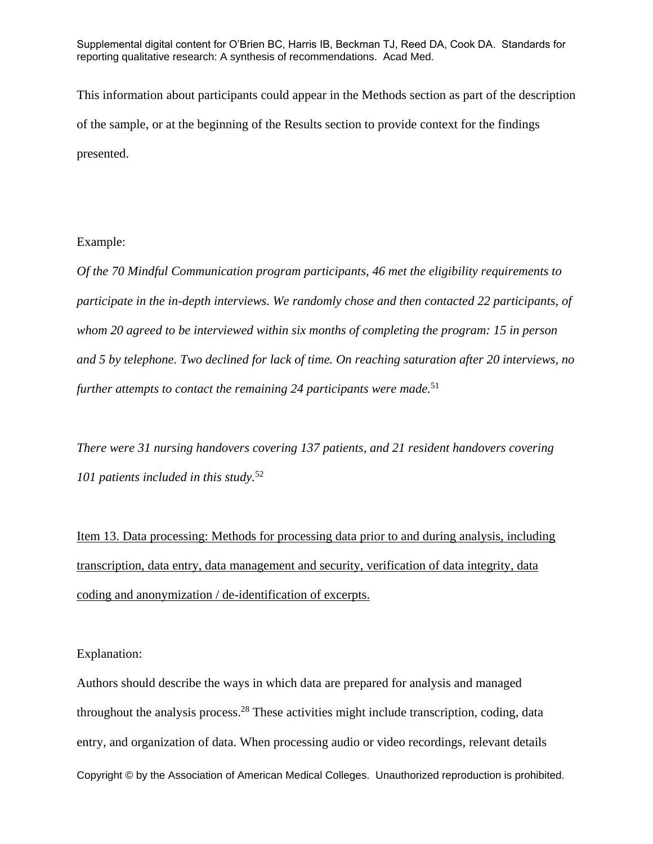This information about participants could appear in the Methods section as part of the description of the sample, or at the beginning of the Results section to provide context for the findings presented.

#### Example:

*Of the 70 Mindful Communication program participants, 46 met the eligibility requirements to participate in the in-depth interviews. We randomly chose and then contacted 22 participants, of whom 20 agreed to be interviewed within six months of completing the program: 15 in person and 5 by telephone. Two declined for lack of time. On reaching saturation after 20 interviews, no further attempts to contact the remaining 24 participants were made.*<sup>51</sup>

*There were 31 nursing handovers covering 137 patients, and 21 resident handovers covering 101 patients included in this study.*<sup>52</sup>

Item 13. Data processing: Methods for processing data prior to and during analysis, including transcription, data entry, data management and security, verification of data integrity, data coding and anonymization / de-identification of excerpts.

Explanation:

Copyright © by the Association of American Medical Colleges. Unauthorized reproduction is prohibited. Authors should describe the ways in which data are prepared for analysis and managed throughout the analysis process.<sup>28</sup> These activities might include transcription, coding, data entry, and organization of data. When processing audio or video recordings, relevant details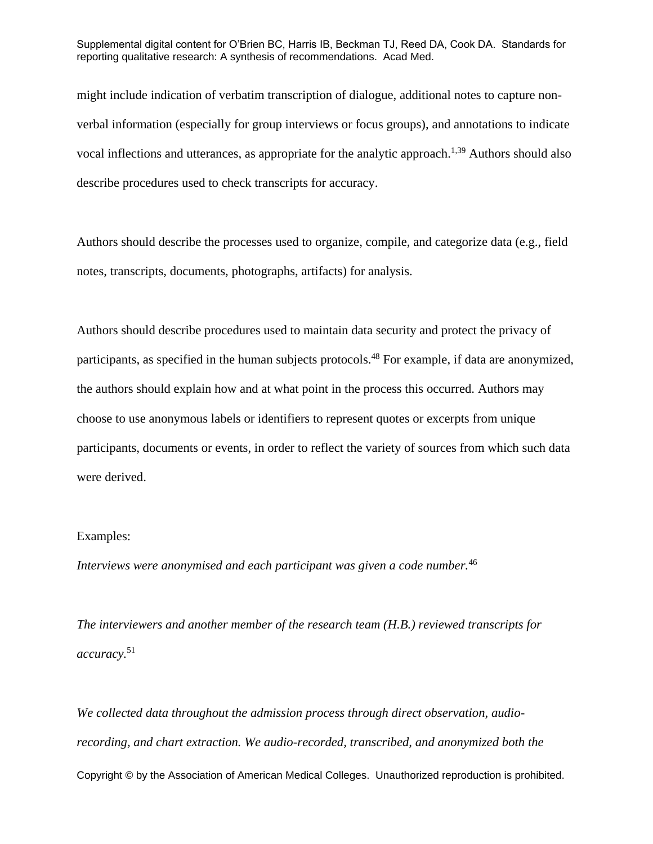might include indication of verbatim transcription of dialogue, additional notes to capture nonverbal information (especially for group interviews or focus groups), and annotations to indicate vocal inflections and utterances, as appropriate for the analytic approach.<sup>1,39</sup> Authors should also describe procedures used to check transcripts for accuracy.

Authors should describe the processes used to organize, compile, and categorize data (e.g., field notes, transcripts, documents, photographs, artifacts) for analysis.

Authors should describe procedures used to maintain data security and protect the privacy of participants, as specified in the human subjects protocols.<sup>48</sup> For example, if data are anonymized, the authors should explain how and at what point in the process this occurred. Authors may choose to use anonymous labels or identifiers to represent quotes or excerpts from unique participants, documents or events, in order to reflect the variety of sources from which such data were derived.

#### Examples:

*Interviews were anonymised and each participant was given a code number.*<sup>46</sup>

*The interviewers and another member of the research team (H.B.) reviewed transcripts for accuracy.*<sup>51</sup>

Copyright © by the Association of American Medical Colleges. Unauthorized reproduction is prohibited. *We collected data throughout the admission process through direct observation, audiorecording, and chart extraction. We audio-recorded, transcribed, and anonymized both the*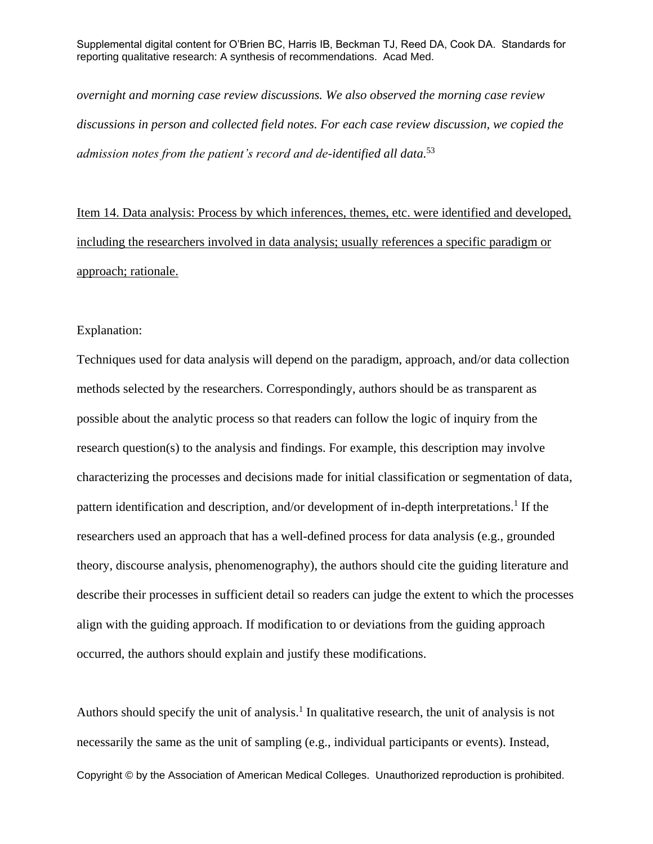*overnight and morning case review discussions. We also observed the morning case review discussions in person and collected field notes. For each case review discussion, we copied the admission notes from the patient's record and de-identified all data.*<sup>53</sup>

Item 14. Data analysis: Process by which inferences, themes, etc. were identified and developed, including the researchers involved in data analysis; usually references a specific paradigm or approach; rationale.

#### Explanation:

Techniques used for data analysis will depend on the paradigm, approach, and/or data collection methods selected by the researchers. Correspondingly, authors should be as transparent as possible about the analytic process so that readers can follow the logic of inquiry from the research question(s) to the analysis and findings. For example, this description may involve characterizing the processes and decisions made for initial classification or segmentation of data, pattern identification and description, and/or development of in-depth interpretations.<sup>1</sup> If the researchers used an approach that has a well-defined process for data analysis (e.g., grounded theory, discourse analysis, phenomenography), the authors should cite the guiding literature and describe their processes in sufficient detail so readers can judge the extent to which the processes align with the guiding approach. If modification to or deviations from the guiding approach occurred, the authors should explain and justify these modifications.

Copyright © by the Association of American Medical Colleges. Unauthorized reproduction is prohibited. Authors should specify the unit of analysis.<sup>1</sup> In qualitative research, the unit of analysis is not necessarily the same as the unit of sampling (e.g., individual participants or events). Instead,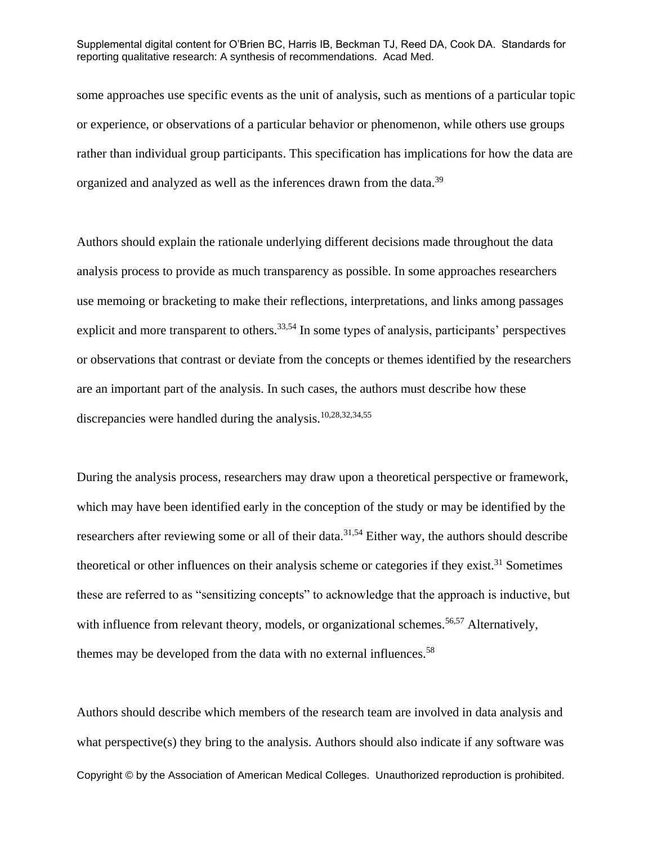some approaches use specific events as the unit of analysis, such as mentions of a particular topic or experience, or observations of a particular behavior or phenomenon, while others use groups rather than individual group participants. This specification has implications for how the data are organized and analyzed as well as the inferences drawn from the data.<sup>39</sup>

Authors should explain the rationale underlying different decisions made throughout the data analysis process to provide as much transparency as possible. In some approaches researchers use memoing or bracketing to make their reflections, interpretations, and links among passages explicit and more transparent to others.<sup>33,54</sup> In some types of analysis, participants' perspectives or observations that contrast or deviate from the concepts or themes identified by the researchers are an important part of the analysis. In such cases, the authors must describe how these discrepancies were handled during the analysis.10,28,32,34,55

During the analysis process, researchers may draw upon a theoretical perspective or framework, which may have been identified early in the conception of the study or may be identified by the researchers after reviewing some or all of their data.<sup>31,54</sup> Either way, the authors should describe theoretical or other influences on their analysis scheme or categories if they exist.<sup>31</sup> Sometimes these are referred to as "sensitizing concepts" to acknowledge that the approach is inductive, but with influence from relevant theory, models, or organizational schemes.<sup>56,57</sup> Alternatively, themes may be developed from the data with no external influences.<sup>58</sup>

Copyright © by the Association of American Medical Colleges. Unauthorized reproduction is prohibited. Authors should describe which members of the research team are involved in data analysis and what perspective(s) they bring to the analysis. Authors should also indicate if any software was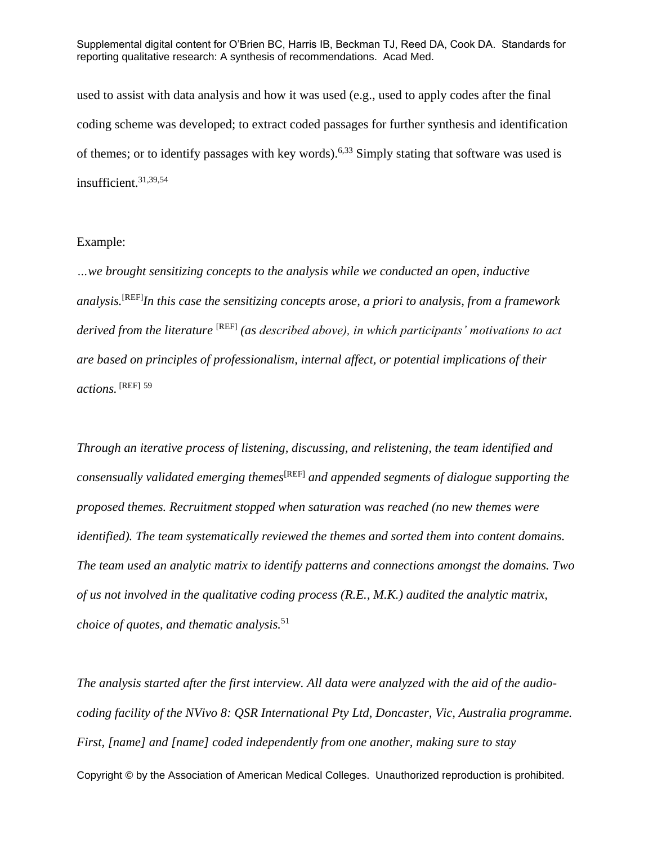used to assist with data analysis and how it was used (e.g., used to apply codes after the final coding scheme was developed; to extract coded passages for further synthesis and identification of themes; or to identify passages with key words).<sup>6,33</sup> Simply stating that software was used is insufficient.31,39,54

#### Example:

*…we brought sensitizing concepts to the analysis while we conducted an open, inductive analysis.*[REF]*In this case the sensitizing concepts arose, a priori to analysis, from a framework derived from the literature* [REF] *(as described above), in which participants' motivations to act are based on principles of professionalism, internal affect, or potential implications of their actions.* [REF] <sup>59</sup>

*Through an iterative process of listening, discussing, and relistening, the team identified and consensually validated emerging themes*[REF] *and appended segments of dialogue supporting the proposed themes. Recruitment stopped when saturation was reached (no new themes were identified). The team systematically reviewed the themes and sorted them into content domains. The team used an analytic matrix to identify patterns and connections amongst the domains. Two of us not involved in the qualitative coding process (R.E., M.K.) audited the analytic matrix, choice of quotes, and thematic analysis.*<sup>51</sup>

Copyright © by the Association of American Medical Colleges. Unauthorized reproduction is prohibited. *The analysis started after the first interview. All data were analyzed with the aid of the audiocoding facility of the NVivo 8: QSR International Pty Ltd, Doncaster, Vic, Australia programme. First, [name] and [name] coded independently from one another, making sure to stay*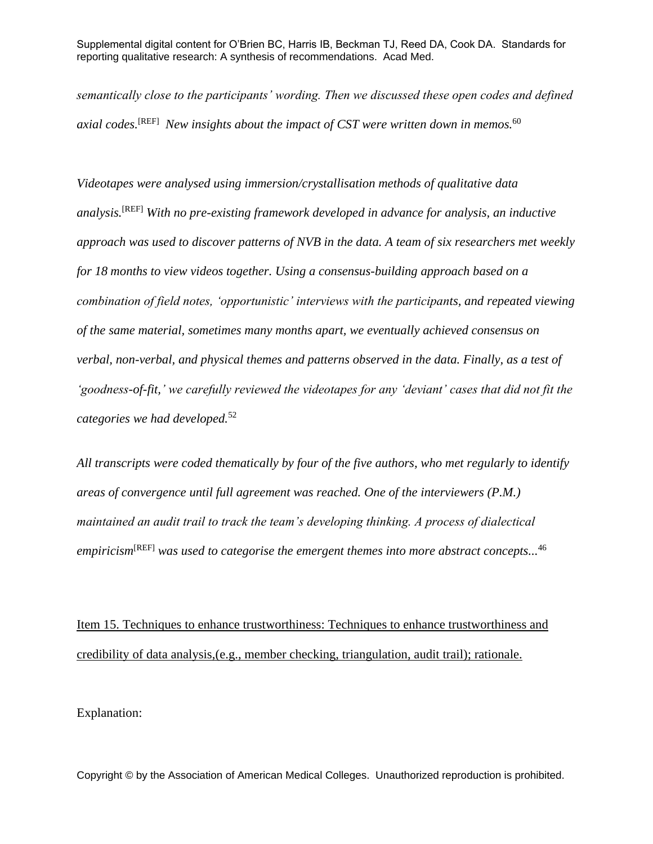*semantically close to the participants' wording. Then we discussed these open codes and defined axial codes.*[REF] *New insights about the impact of CST were written down in memos.*<sup>60</sup>

*Videotapes were analysed using immersion/crystallisation methods of qualitative data analysis.*[REF] *With no pre-existing framework developed in advance for analysis, an inductive approach was used to discover patterns of NVB in the data. A team of six researchers met weekly for 18 months to view videos together. Using a consensus-building approach based on a combination of field notes, 'opportunistic' interviews with the participants, and repeated viewing of the same material, sometimes many months apart, we eventually achieved consensus on verbal, non-verbal, and physical themes and patterns observed in the data. Finally, as a test of 'goodness-of-fit,' we carefully reviewed the videotapes for any 'deviant' cases that did not fit the categories we had developed.*<sup>52</sup>

*All transcripts were coded thematically by four of the five authors, who met regularly to identify areas of convergence until full agreement was reached. One of the interviewers (P.M.) maintained an audit trail to track the team's developing thinking. A process of dialectical empiricism*[REF] *was used to categorise the emergent themes into more abstract concepts...* 46

Item 15. Techniques to enhance trustworthiness: Techniques to enhance trustworthiness and credibility of data analysis,(e.g., member checking, triangulation, audit trail); rationale.

Explanation: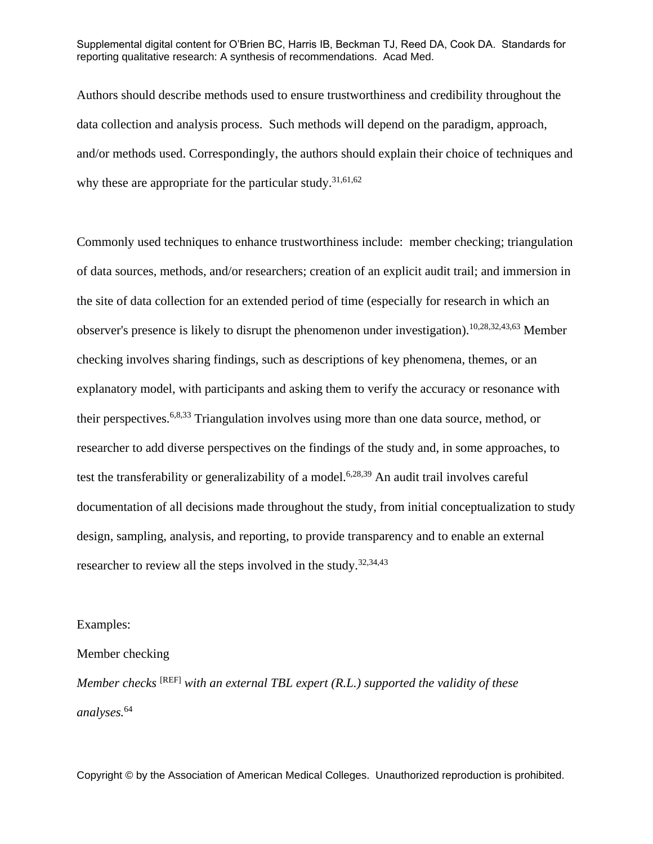Authors should describe methods used to ensure trustworthiness and credibility throughout the data collection and analysis process. Such methods will depend on the paradigm, approach, and/or methods used. Correspondingly, the authors should explain their choice of techniques and why these are appropriate for the particular study.<sup>31,61,62</sup>

Commonly used techniques to enhance trustworthiness include: member checking; triangulation of data sources, methods, and/or researchers; creation of an explicit audit trail; and immersion in the site of data collection for an extended period of time (especially for research in which an observer's presence is likely to disrupt the phenomenon under investigation). 10,28,32,43,63 Member checking involves sharing findings, such as descriptions of key phenomena, themes, or an explanatory model, with participants and asking them to verify the accuracy or resonance with their perspectives.6,8,33 Triangulation involves using more than one data source, method, or researcher to add diverse perspectives on the findings of the study and, in some approaches, to test the transferability or generalizability of a model.<sup>6,28,39</sup> An audit trail involves careful documentation of all decisions made throughout the study, from initial conceptualization to study design, sampling, analysis, and reporting, to provide transparency and to enable an external researcher to review all the steps involved in the study.<sup>32,34,43</sup>

#### Examples:

#### Member checking

*Member checks* <sup>[REF]</sup> with an external TBL expert (R.L.) supported the validity of these *analyses.*<sup>64</sup>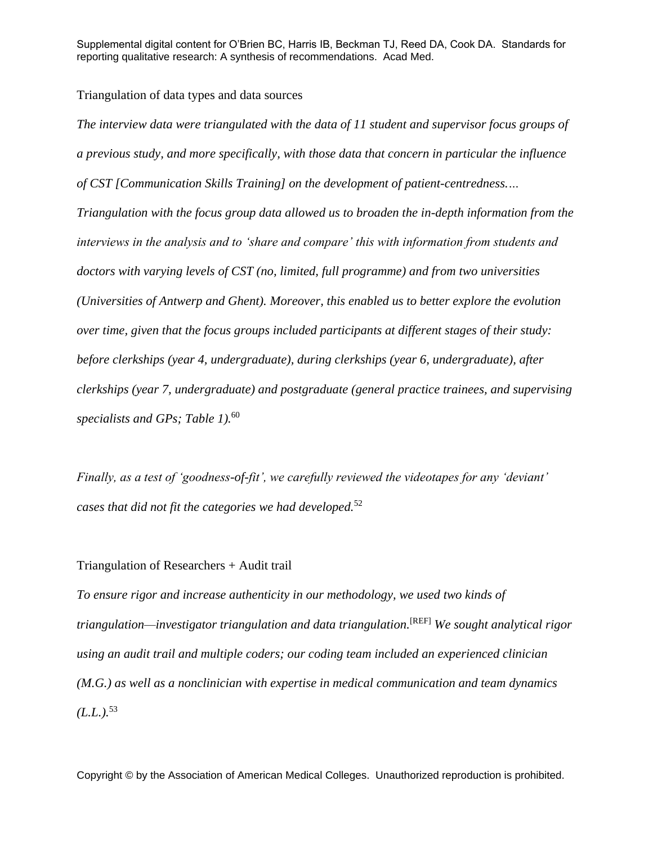#### Triangulation of data types and data sources

*The interview data were triangulated with the data of 11 student and supervisor focus groups of a previous study, and more specifically, with those data that concern in particular the influence of CST [Communication Skills Training] on the development of patient-centredness.… Triangulation with the focus group data allowed us to broaden the in-depth information from the interviews in the analysis and to 'share and compare' this with information from students and doctors with varying levels of CST (no, limited, full programme) and from two universities (Universities of Antwerp and Ghent). Moreover, this enabled us to better explore the evolution over time, given that the focus groups included participants at different stages of their study: before clerkships (year 4, undergraduate), during clerkships (year 6, undergraduate), after clerkships (year 7, undergraduate) and postgraduate (general practice trainees, and supervising specialists and GPs; [Table 1\)](http://informahealthcare.com/action/showPopup?citid=citart1&id=T0001&doi=10.3109/0142159X.2012.670320).* 60

*Finally, as a test of 'goodness-of-fit', we carefully reviewed the videotapes for any 'deviant' cases that did not fit the categories we had developed.*<sup>52</sup>

#### Triangulation of Researchers + Audit trail

*To ensure rigor and increase authenticity in our methodology, we used two kinds of triangulation—investigator triangulation and data triangulation.*[REF] *We sought analytical rigor using an audit trail and multiple coders; our coding team included an experienced clinician (M.G.) as well as a nonclinician with expertise in medical communication and team dynamics*   $(L.L.).$ <sup>53</sup>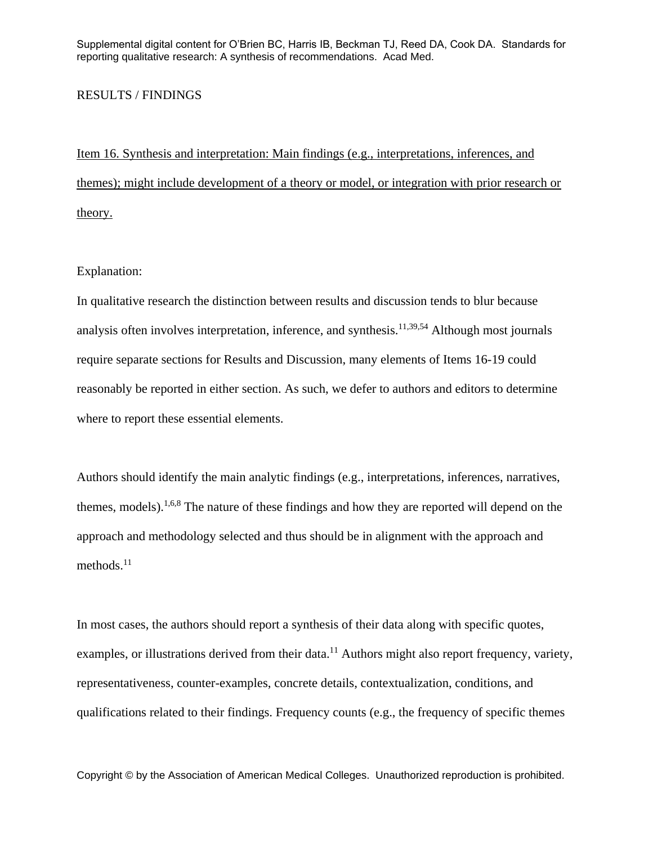#### RESULTS / FINDINGS

Item 16. Synthesis and interpretation: Main findings (e.g., interpretations, inferences, and themes); might include development of a theory or model, or integration with prior research or theory.

#### Explanation:

In qualitative research the distinction between results and discussion tends to blur because analysis often involves interpretation, inference, and synthesis.<sup>11,39,54</sup> Although most journals require separate sections for Results and Discussion, many elements of Items 16-19 could reasonably be reported in either section. As such, we defer to authors and editors to determine where to report these essential elements.

Authors should identify the main analytic findings (e.g., interpretations, inferences, narratives, themes, models).<sup>1,6,8</sup> The nature of these findings and how they are reported will depend on the approach and methodology selected and thus should be in alignment with the approach and methods. 11

In most cases, the authors should report a synthesis of their data along with specific quotes, examples, or illustrations derived from their data.<sup>11</sup> Authors might also report frequency, variety, representativeness, counter-examples, concrete details, contextualization, conditions, and qualifications related to their findings. Frequency counts (e.g., the frequency of specific themes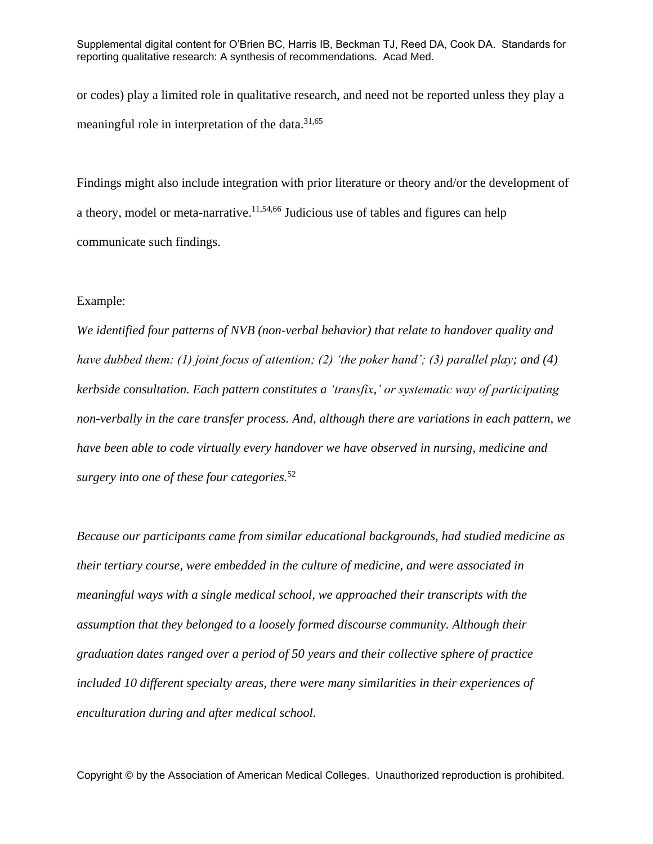or codes) play a limited role in qualitative research, and need not be reported unless they play a meaningful role in interpretation of the data.31,65

Findings might also include integration with prior literature or theory and/or the development of a theory, model or meta-narrative.<sup>11,54,66</sup> Judicious use of tables and figures can help communicate such findings.

#### Example:

*We identified four patterns of NVB (non-verbal behavior) that relate to handover quality and have dubbed them: (1) joint focus of attention; (2) 'the poker hand'; (3) parallel play; and (4) kerbside consultation. Each pattern constitutes a 'transfix,' or systematic way of participating non-verbally in the care transfer process. And, although there are variations in each pattern, we have been able to code virtually every handover we have observed in nursing, medicine and surgery into one of these four categories.*<sup>52</sup>

*Because our participants came from similar educational backgrounds, had studied medicine as their tertiary course, were embedded in the culture of medicine, and were associated in meaningful ways with a single medical school, we approached their transcripts with the assumption that they belonged to a loosely formed discourse community. Although their graduation dates ranged over a period of 50 years and their collective sphere of practice included 10 different specialty areas, there were many similarities in their experiences of enculturation during and after medical school.*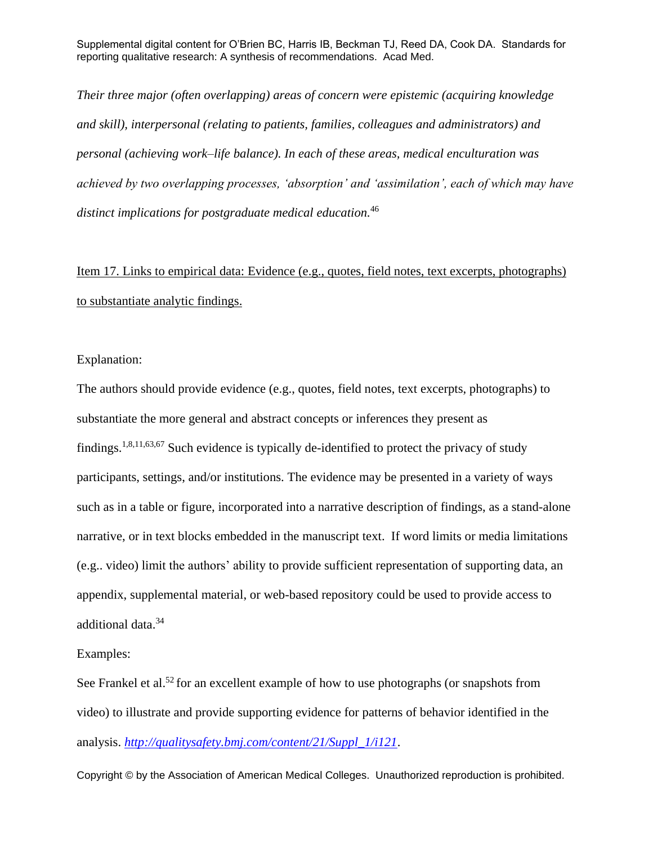*Their three major (often overlapping) areas of concern were epistemic (acquiring knowledge and skill), interpersonal (relating to patients, families, colleagues and administrators) and personal (achieving work–life balance). In each of these areas, medical enculturation was achieved by two overlapping processes, 'absorption' and 'assimilation', each of which may have distinct implications for postgraduate medical education.*<sup>46</sup>

Item 17. Links to empirical data: Evidence (e.g., quotes, field notes, text excerpts, photographs) to substantiate analytic findings.

Explanation:

The authors should provide evidence (e.g., quotes, field notes, text excerpts, photographs) to substantiate the more general and abstract concepts or inferences they present as findings.<sup>1,8,11,63,67</sup> Such evidence is typically de-identified to protect the privacy of study participants, settings, and/or institutions. The evidence may be presented in a variety of ways such as in a table or figure, incorporated into a narrative description of findings, as a stand-alone narrative, or in text blocks embedded in the manuscript text. If word limits or media limitations (e.g.. video) limit the authors' ability to provide sufficient representation of supporting data, an appendix, supplemental material, or web-based repository could be used to provide access to additional data.<sup>34</sup>

Examples:

See Frankel et al.<sup>52</sup> for an excellent example of how to use photographs (or snapshots from video) to illustrate and provide supporting evidence for patterns of behavior identified in the analysis. *[http://qualitysafety.bmj.com/content/21/Suppl\\_1/i121](http://qualitysafety.bmj.com/content/21/Suppl_1/i121)*.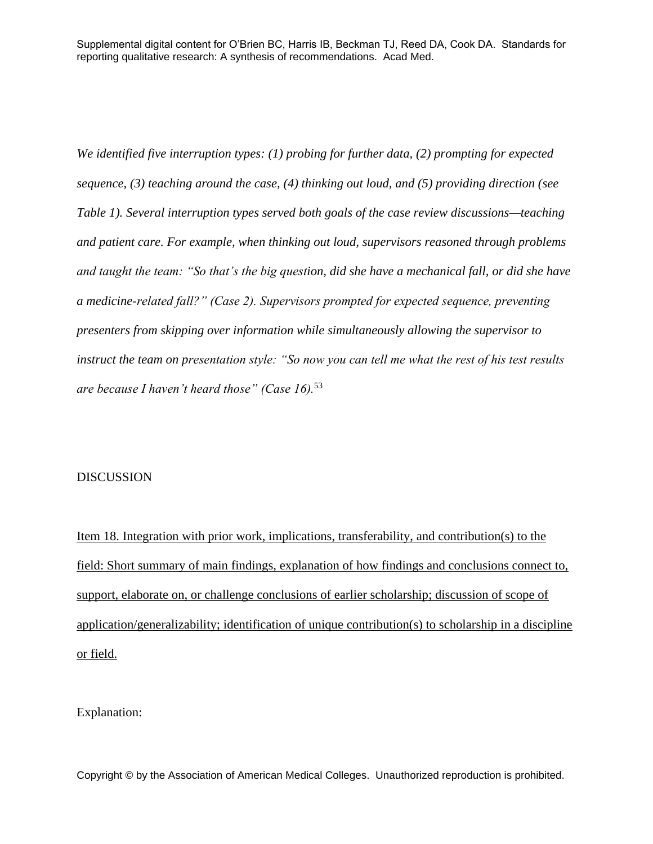*We identified five interruption types: (1) probing for further data, (2) prompting for expected sequence, (3) teaching around the case, (4) thinking out loud, and (5) providing direction (see [Table 1\)](http://ovidsp.tx.ovid.com/sp-3.8.1a/ovidweb.cgi?QS2=434f4e1a73d37e8c6dbab9f901264ada286e57c5b0d841007626acf8830ce887b8b9280f452053768ef3142d37a4418debcd747d63e106effef663cb8b8de5406871d3f2a7dfcaa6e561036d2129e15feec17e6638a9b1675979c35355f9c4e7034d55acb5d301d409d821112e660d6cd50baa7e5f8416fafbecaa18a4b1afff99c75e49c09ffa11be45de82c73336d129b084980d95ee1bf3c963990b8d3cac15915851dd4c3f0d3637747efae98e119cc8fcdc0059627c52271c783c38d541092eff7801630cea1eb0ac04bed1c7ce76de5fe2fedae409d8958b3b11402cc49eaab4f7ade404055ea26bd59b74bdd5c875a69b6199fc33161b990baf150feda07b45dfb7a0ad64636c5a1a73c03490191e9a33138f32f0363e0eec0076da29063f403306056895007440ed4e0464aa5359bd7ee6074c98bf2b5d06103b41200c754db3dea5e7a65e16e3b24b0b6c74f46d7d95c83b9038426283f77f6205363d161f65dfcc89688bdc4917948d0d016ac37b0ebfa03e1be735185e379fb9647c321a9a0059ba20#TT2). Several interruption types served both goals of the case review discussions—teaching and patient care. For example, when thinking out loud, supervisors reasoned through problems and taught the team: "So that's the big question, did she have a mechanical fall, or did she have a medicine-related fall?" (Case 2). Supervisors prompted for expected sequence, preventing presenters from skipping over information while simultaneously allowing the supervisor to instruct the team on presentation style: "So now you can tell me what the rest of his test results are because I haven't heard those" (Case 16).*<sup>53</sup>

#### DISCUSSION

Item 18. Integration with prior work, implications, transferability, and contribution(s) to the field: Short summary of main findings, explanation of how findings and conclusions connect to, support, elaborate on, or challenge conclusions of earlier scholarship; discussion of scope of application/generalizability; identification of unique contribution(s) to scholarship in a discipline or field.

Explanation: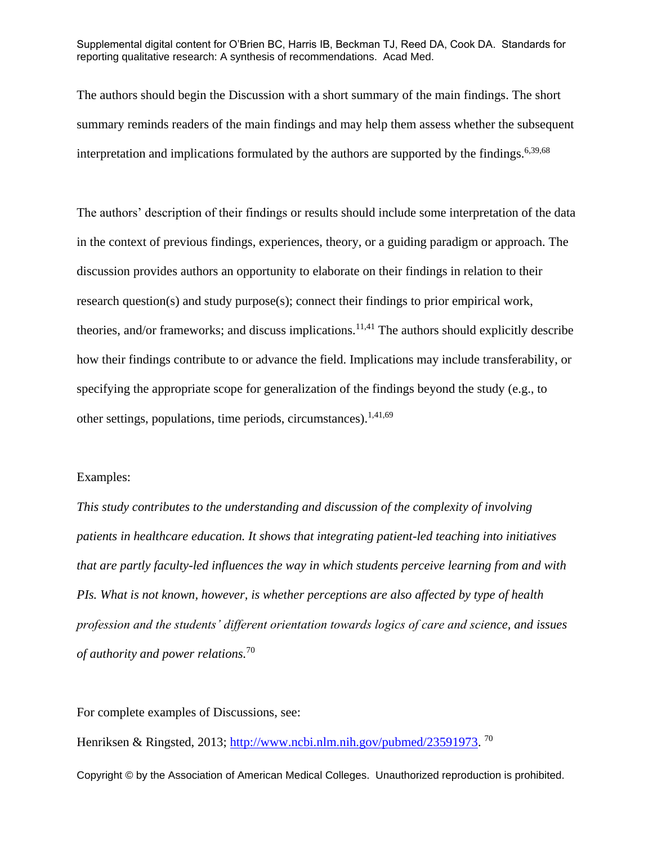The authors should begin the Discussion with a short summary of the main findings. The short summary reminds readers of the main findings and may help them assess whether the subsequent interpretation and implications formulated by the authors are supported by the findings.<sup>6,39,68</sup>

The authors' description of their findings or results should include some interpretation of the data in the context of previous findings, experiences, theory, or a guiding paradigm or approach. The discussion provides authors an opportunity to elaborate on their findings in relation to their research question(s) and study purpose(s); connect their findings to prior empirical work, theories, and/or frameworks; and discuss implications. $11,41$  The authors should explicitly describe how their findings contribute to or advance the field. Implications may include transferability, or specifying the appropriate scope for generalization of the findings beyond the study (e.g., to other settings, populations, time periods, circumstances).<sup>1,41,69</sup>

#### Examples:

*This study contributes to the understanding and discussion of the complexity of involving patients in healthcare education. It shows that integrating patient-led teaching into initiatives that are partly faculty-led influences the way in which students perceive learning from and with PIs. What is not known, however, is whether perceptions are also affected by type of health profession and the students' different orientation towards logics of care and science, and issues of authority and power relations.*<sup>70</sup>

For complete examples of Discussions, see:

Henriksen & Ringsted, 2013; [http://www.ncbi.nlm.nih.gov/pubmed/23591973.](http://www.ncbi.nlm.nih.gov/pubmed/23591973)<sup>70</sup>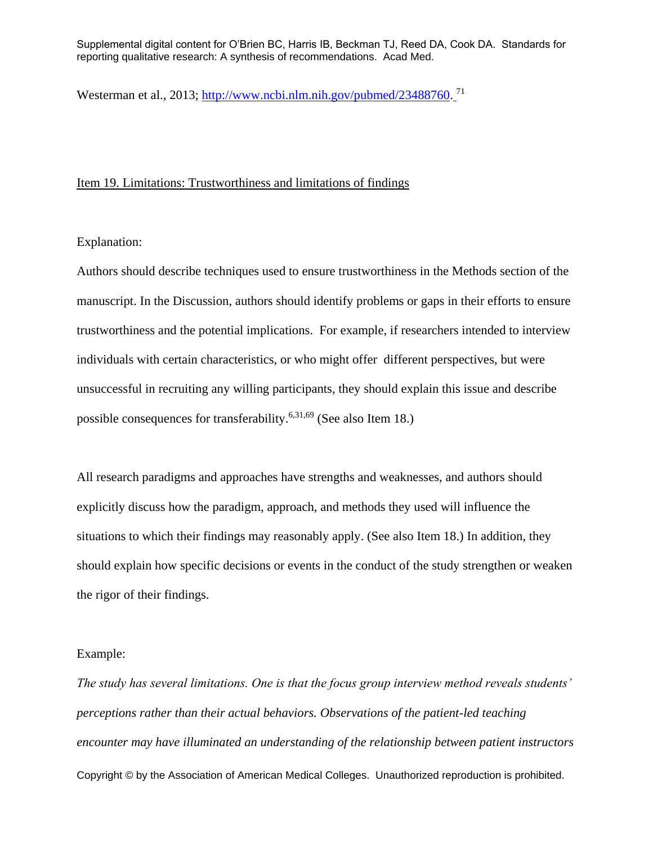Westerman et al., 2013; [http://www.ncbi.nlm.nih.gov/pubmed/23488760.](http://www.ncbi.nlm.nih.gov/pubmed/23488760)<sup>71</sup>

#### Item 19. Limitations: Trustworthiness and limitations of findings

Explanation:

Authors should describe techniques used to ensure trustworthiness in the Methods section of the manuscript. In the Discussion, authors should identify problems or gaps in their efforts to ensure trustworthiness and the potential implications. For example, if researchers intended to interview individuals with certain characteristics, or who might offer different perspectives, but were unsuccessful in recruiting any willing participants, they should explain this issue and describe possible consequences for transferability.<sup>6,31,69</sup> (See also Item 18.)

All research paradigms and approaches have strengths and weaknesses, and authors should explicitly discuss how the paradigm, approach, and methods they used will influence the situations to which their findings may reasonably apply. (See also Item 18.) In addition, they should explain how specific decisions or events in the conduct of the study strengthen or weaken the rigor of their findings.

#### Example:

Copyright © by the Association of American Medical Colleges. Unauthorized reproduction is prohibited. *The study has several limitations. One is that the focus group interview method reveals students' perceptions rather than their actual behaviors. Observations of the patient-led teaching encounter may have illuminated an understanding of the relationship between patient instructors*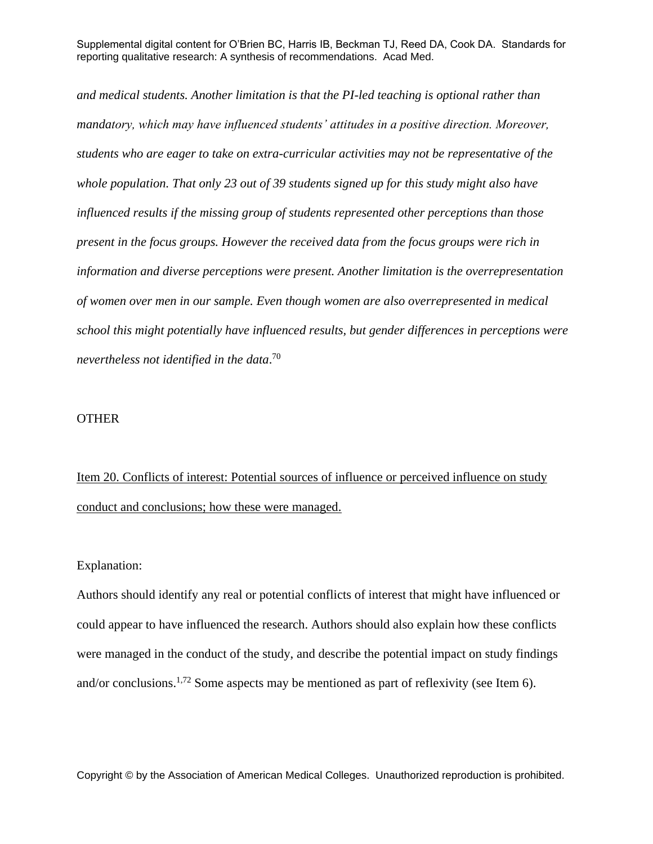*and medical students. Another limitation is that the PI-led teaching is optional rather than mandatory, which may have influenced students' attitudes in a positive direction. Moreover, students who are eager to take on extra-curricular activities may not be representative of the whole population. That only 23 out of 39 students signed up for this study might also have influenced results if the missing group of students represented other perceptions than those present in the focus groups. However the received data from the focus groups were rich in information and diverse perceptions were present. Another limitation is the overrepresentation of women over men in our sample. Even though women are also overrepresented in medical school this might potentially have influenced results, but gender differences in perceptions were nevertheless not identified in the data*. 70

#### OTHER

Item 20. Conflicts of interest: Potential sources of influence or perceived influence on study conduct and conclusions; how these were managed.

#### Explanation:

Authors should identify any real or potential conflicts of interest that might have influenced or could appear to have influenced the research. Authors should also explain how these conflicts were managed in the conduct of the study, and describe the potential impact on study findings and/or conclusions.<sup>1,72</sup> Some aspects may be mentioned as part of reflexivity (see Item 6).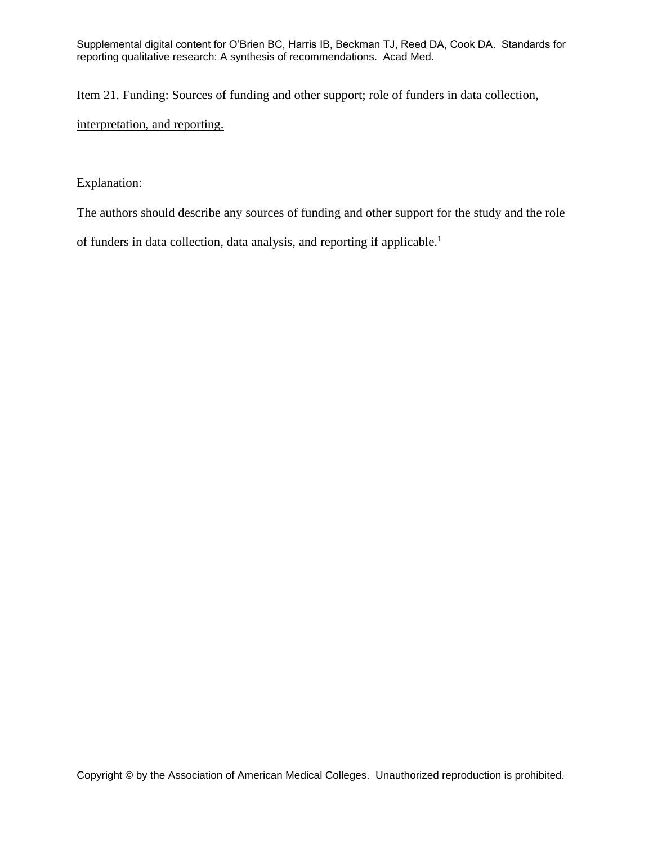## Item 21. Funding: Sources of funding and other support; role of funders in data collection,

interpretation, and reporting.

#### Explanation:

The authors should describe any sources of funding and other support for the study and the role

of funders in data collection, data analysis, and reporting if applicable. 1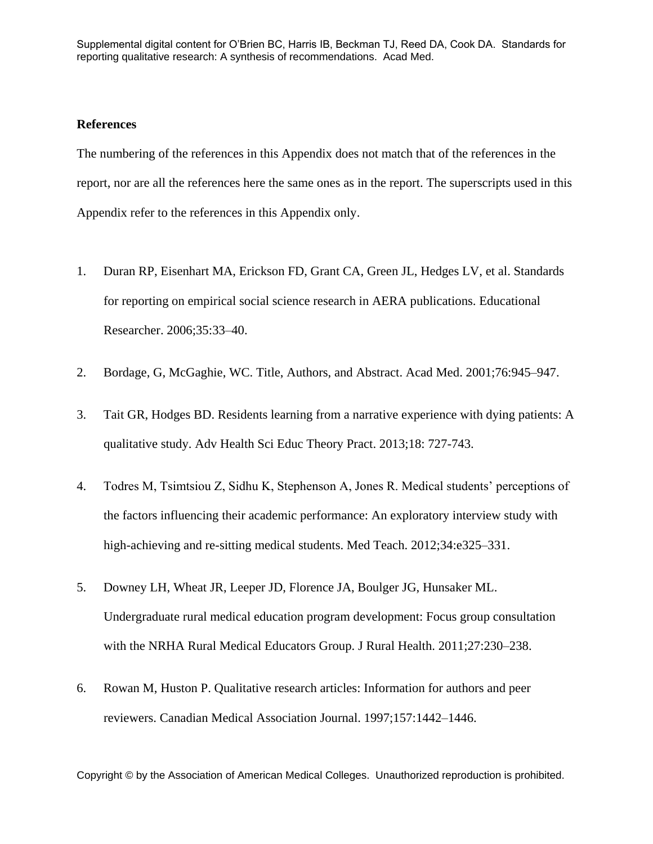#### **References**

The numbering of the references in this Appendix does not match that of the references in the report, nor are all the references here the same ones as in the report. The superscripts used in this Appendix refer to the references in this Appendix only.

- 1. Duran RP, Eisenhart MA, Erickson FD, Grant CA, Green JL, Hedges LV, et al. Standards for reporting on empirical social science research in AERA publications. Educational Researcher. 2006;35:33–40.
- 2. Bordage, G, McGaghie, WC. Title, Authors, and Abstract. Acad Med. 2001;76:945–947.
- 3. Tait GR, Hodges BD. Residents learning from a narrative experience with dying patients: A qualitative study. Adv Health Sci Educ Theory Pract. 2013;18: 727-743.
- 4. Todres M, Tsimtsiou Z, Sidhu K, Stephenson A, Jones R. Medical students' perceptions of the factors influencing their academic performance: An exploratory interview study with high-achieving and re-sitting medical students. Med Teach. 2012;34:e325–331.
- 5. Downey LH, Wheat JR, Leeper JD, Florence JA, Boulger JG, Hunsaker ML. Undergraduate rural medical education program development: Focus group consultation with the NRHA Rural Medical Educators Group. J Rural Health. 2011;27:230–238.
- 6. Rowan M, Huston P. Qualitative research articles: Information for authors and peer reviewers. Canadian Medical Association Journal. 1997;157:1442–1446.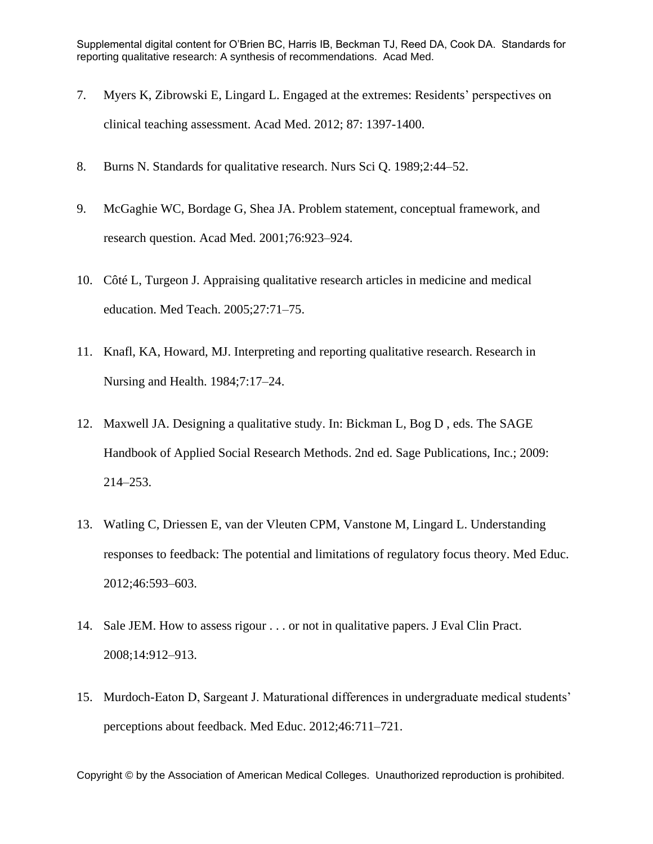- 7. Myers K, Zibrowski E, Lingard L. Engaged at the extremes: Residents' perspectives on clinical teaching assessment. Acad Med. 2012; 87: 1397-1400.
- 8. Burns N. Standards for qualitative research. Nurs Sci Q. 1989;2:44–52.
- 9. McGaghie WC, Bordage G, Shea JA. Problem statement, conceptual framework, and research question. Acad Med. 2001;76:923–924.
- 10. Côté L, Turgeon J. Appraising qualitative research articles in medicine and medical education. Med Teach. 2005;27:71–75.
- 11. Knafl, KA, Howard, MJ. Interpreting and reporting qualitative research. Research in Nursing and Health. 1984;7:17–24.
- 12. Maxwell JA. Designing a qualitative study. In: Bickman L, Bog D , eds. The SAGE Handbook of Applied Social Research Methods. 2nd ed. Sage Publications, Inc.; 2009: 214–253.
- 13. Watling C, Driessen E, van der Vleuten CPM, Vanstone M, Lingard L. Understanding responses to feedback: The potential and limitations of regulatory focus theory. Med Educ. 2012;46:593–603.
- 14. Sale JEM. How to assess rigour . . . or not in qualitative papers. J Eval Clin Pract. 2008;14:912–913.
- 15. Murdoch-Eaton D, Sargeant J. Maturational differences in undergraduate medical students' perceptions about feedback. Med Educ. 2012;46:711–721.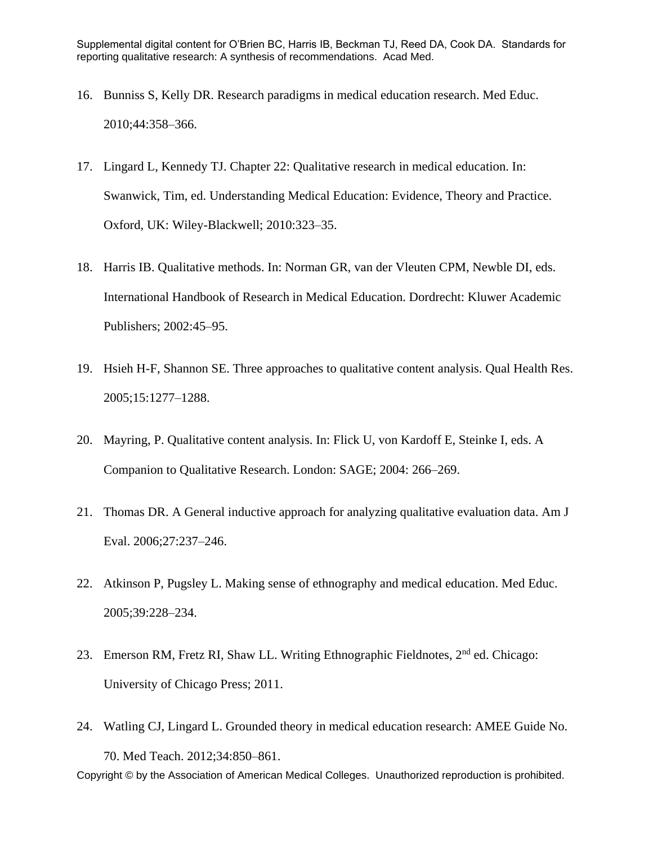- 16. Bunniss S, Kelly DR. Research paradigms in medical education research. Med Educ. 2010;44:358–366.
- 17. Lingard L, Kennedy TJ. Chapter 22: Qualitative research in medical education. In: Swanwick, Tim, ed. Understanding Medical Education: Evidence, Theory and Practice. Oxford, UK: Wiley-Blackwell; 2010:323–35.
- 18. Harris IB. Qualitative methods. In: Norman GR, van der Vleuten CPM, Newble DI, eds. International Handbook of Research in Medical Education. Dordrecht: Kluwer Academic Publishers; 2002:45–95.
- 19. Hsieh H-F, Shannon SE. Three approaches to qualitative content analysis. Qual Health Res. 2005;15:1277–1288.
- 20. Mayring, P. Qualitative content analysis. In: Flick U, von Kardoff E, Steinke I, eds. A Companion to Qualitative Research. London: SAGE; 2004: 266–269.
- 21. Thomas DR. A General inductive approach for analyzing qualitative evaluation data. Am J Eval. 2006;27:237–246.
- 22. Atkinson P, Pugsley L. Making sense of ethnography and medical education. Med Educ. 2005;39:228–234.
- 23. Emerson RM, Fretz RI, Shaw LL. Writing Ethnographic Fieldnotes, 2<sup>nd</sup> ed. Chicago: University of Chicago Press; 2011.
- Copyright © by the Association of American Medical Colleges. Unauthorized reproduction is prohibited. 24. Watling CJ, Lingard L. Grounded theory in medical education research: AMEE Guide No. 70. Med Teach. 2012;34:850–861.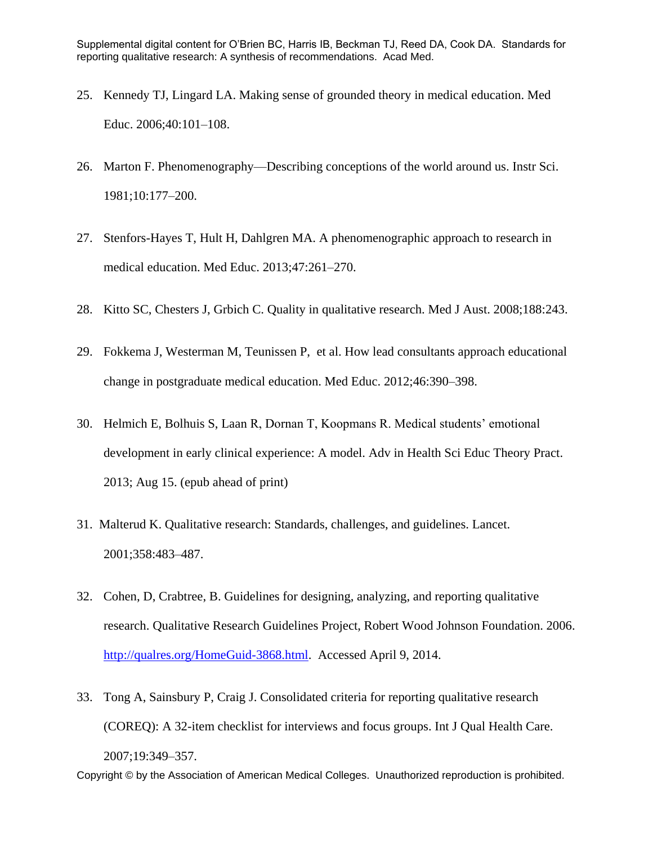- 25. Kennedy TJ, Lingard LA. Making sense of grounded theory in medical education. Med Educ. 2006;40:101–108.
- 26. Marton F. Phenomenography—Describing conceptions of the world around us. Instr Sci. 1981;10:177–200.
- 27. Stenfors-Hayes T, Hult H, Dahlgren MA. A phenomenographic approach to research in medical education. Med Educ. 2013;47:261–270.
- 28. Kitto SC, Chesters J, Grbich C. Quality in qualitative research. Med J Aust. 2008;188:243.
- 29. Fokkema J, Westerman M, Teunissen P, et al. How lead consultants approach educational change in postgraduate medical education. Med Educ. 2012;46:390–398.
- 30. Helmich E, Bolhuis S, Laan R, Dornan T, Koopmans R. Medical students' emotional development in early clinical experience: A model. Adv in Health Sci Educ Theory Pract. 2013; Aug 15. (epub ahead of print)
- 31. Malterud K. Qualitative research: Standards, challenges, and guidelines. Lancet. 2001;358:483–487.
- 32. Cohen, D, Crabtree, B. Guidelines for designing, analyzing, and reporting qualitative research. Qualitative Research Guidelines Project, Robert Wood Johnson Foundation. 2006. [http://qualres.org/HomeGuid-3868.html.](http://qualres.org/HomeGuid-3868.html) Accessed April 9, 2014.
- Copyright © by the Association of American Medical Colleges. Unauthorized reproduction is prohibited. 33. Tong A, Sainsbury P, Craig J. Consolidated criteria for reporting qualitative research (COREQ): A 32-item checklist for interviews and focus groups. Int J Qual Health Care. 2007;19:349–357.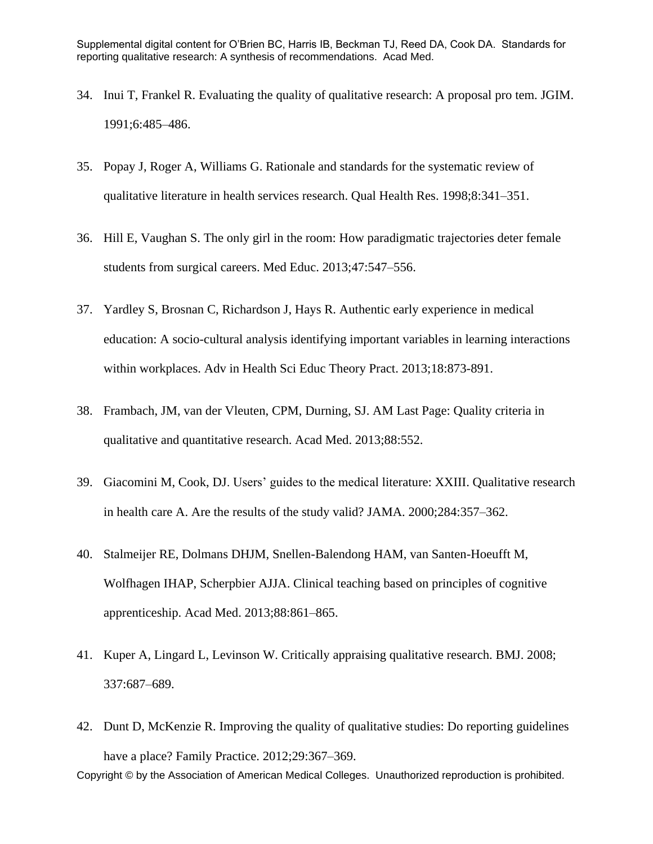- 34. Inui T, Frankel R. Evaluating the quality of qualitative research: A proposal pro tem. JGIM. 1991;6:485–486.
- 35. Popay J, Roger A, Williams G. Rationale and standards for the systematic review of qualitative literature in health services research. Qual Health Res. 1998;8:341–351.
- 36. Hill E, Vaughan S. The only girl in the room: How paradigmatic trajectories deter female students from surgical careers. Med Educ. 2013;47:547–556.
- 37. Yardley S, Brosnan C, Richardson J, Hays R. Authentic early experience in medical education: A socio-cultural analysis identifying important variables in learning interactions within workplaces. Adv in Health Sci Educ Theory Pract. 2013;18:873-891.
- 38. Frambach, JM, van der Vleuten, CPM, Durning, SJ. AM Last Page: Quality criteria in qualitative and quantitative research. Acad Med. 2013;88:552.
- 39. Giacomini M, Cook, DJ. Users' guides to the medical literature: XXIII. Qualitative research in health care A. Are the results of the study valid? JAMA. 2000;284:357–362.
- 40. Stalmeijer RE, Dolmans DHJM, Snellen-Balendong HAM, van Santen-Hoeufft M, Wolfhagen IHAP, Scherpbier AJJA. Clinical teaching based on principles of cognitive apprenticeship. Acad Med. 2013;88:861–865.
- 41. Kuper A, Lingard L, Levinson W. Critically appraising qualitative research. BMJ. 2008; 337:687–689.
- Copyright © by the Association of American Medical Colleges. Unauthorized reproduction is prohibited. 42. Dunt D, McKenzie R. Improving the quality of qualitative studies: Do reporting guidelines have a place? Family Practice. 2012;29:367–369.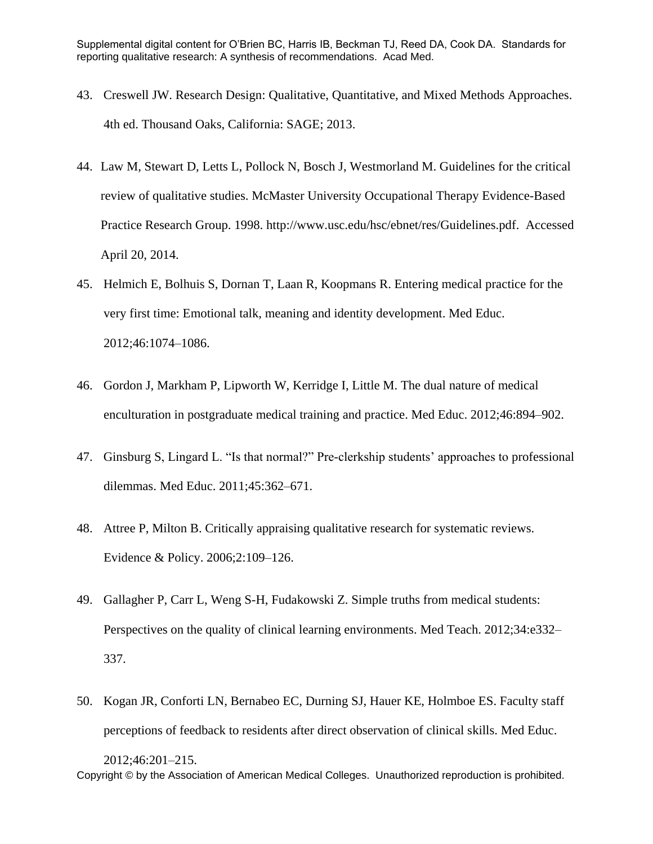- 43. Creswell JW. Research Design: Qualitative, Quantitative, and Mixed Methods Approaches. 4th ed. Thousand Oaks, California: SAGE; 2013.
- 44. Law M, Stewart D, Letts L, Pollock N, Bosch J, Westmorland M. Guidelines for the critical review of qualitative studies. McMaster University Occupational Therapy Evidence-Based Practice Research Group. 1998. http://www.usc.edu/hsc/ebnet/res/Guidelines.pdf. Accessed April 20, 2014.
- 45. Helmich E, Bolhuis S, Dornan T, Laan R, Koopmans R. Entering medical practice for the very first time: Emotional talk, meaning and identity development. Med Educ. 2012;46:1074–1086.
- 46. Gordon J, Markham P, Lipworth W, Kerridge I, Little M. The dual nature of medical enculturation in postgraduate medical training and practice. Med Educ. 2012;46:894–902.
- 47. Ginsburg S, Lingard L. "Is that normal?" Pre-clerkship students' approaches to professional dilemmas. Med Educ. 2011;45:362–671.
- 48. Attree P, Milton B. Critically appraising qualitative research for systematic reviews. Evidence & Policy. 2006;2:109–126.
- 49. Gallagher P, Carr L, Weng S-H, Fudakowski Z. Simple truths from medical students: Perspectives on the quality of clinical learning environments. Med Teach. 2012;34:e332– 337.
- 50. Kogan JR, Conforti LN, Bernabeo EC, Durning SJ, Hauer KE, Holmboe ES. Faculty staff perceptions of feedback to residents after direct observation of clinical skills. Med Educ.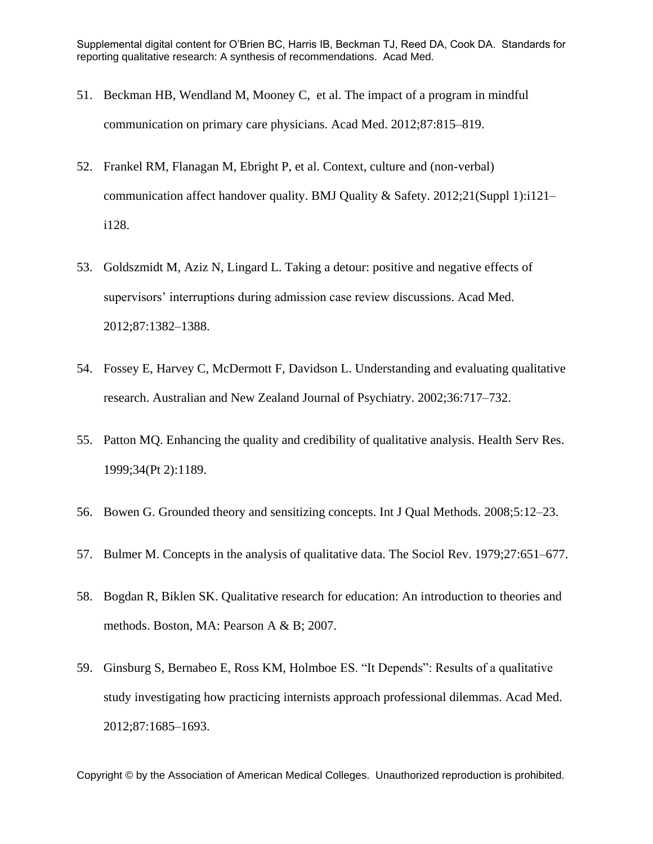- 51. Beckman HB, Wendland M, Mooney C, et al. The impact of a program in mindful communication on primary care physicians. Acad Med. 2012;87:815–819.
- 52. Frankel RM, Flanagan M, Ebright P, et al. Context, culture and (non-verbal) communication affect handover quality. BMJ Quality & Safety. 2012;21(Suppl 1):i121– i128.
- 53. Goldszmidt M, Aziz N, Lingard L. Taking a detour: positive and negative effects of supervisors' interruptions during admission case review discussions. Acad Med. 2012;87:1382–1388.
- 54. Fossey E, Harvey C, McDermott F, Davidson L. Understanding and evaluating qualitative research. Australian and New Zealand Journal of Psychiatry. 2002;36:717–732.
- 55. Patton MQ. Enhancing the quality and credibility of qualitative analysis. Health Serv Res. 1999;34(Pt 2):1189.
- 56. Bowen G. Grounded theory and sensitizing concepts. Int J Qual Methods. 2008;5:12–23.
- 57. Bulmer M. Concepts in the analysis of qualitative data. The Sociol Rev. 1979;27:651–677.
- 58. Bogdan R, Biklen SK. Qualitative research for education: An introduction to theories and methods. Boston, MA: Pearson A & B; 2007.
- 59. Ginsburg S, Bernabeo E, Ross KM, Holmboe ES. "It Depends": Results of a qualitative study investigating how practicing internists approach professional dilemmas. Acad Med. 2012;87:1685–1693.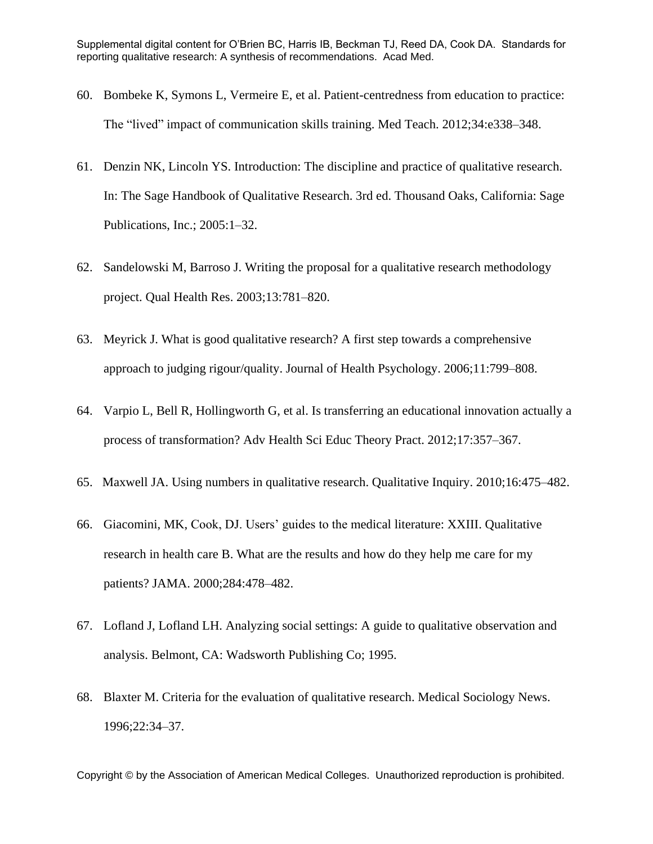- 60. Bombeke K, Symons L, Vermeire E, et al. Patient-centredness from education to practice: The "lived" impact of communication skills training. Med Teach. 2012;34:e338–348.
- 61. Denzin NK, Lincoln YS. Introduction: The discipline and practice of qualitative research. In: The Sage Handbook of Qualitative Research. 3rd ed. Thousand Oaks, California: Sage Publications, Inc.; 2005:1–32.
- 62. Sandelowski M, Barroso J. Writing the proposal for a qualitative research methodology project. Qual Health Res. 2003;13:781–820.
- 63. Meyrick J. What is good qualitative research? A first step towards a comprehensive approach to judging rigour/quality. Journal of Health Psychology. 2006;11:799–808.
- 64. Varpio L, Bell R, Hollingworth G, et al. Is transferring an educational innovation actually a process of transformation? Adv Health Sci Educ Theory Pract. 2012;17:357–367.
- 65. Maxwell JA. Using numbers in qualitative research. Qualitative Inquiry. 2010;16:475–482.
- 66. Giacomini, MK, Cook, DJ. Users' guides to the medical literature: XXIII. Qualitative research in health care B. What are the results and how do they help me care for my patients? JAMA. 2000;284:478–482.
- 67. Lofland J, Lofland LH. Analyzing social settings: A guide to qualitative observation and analysis. Belmont, CA: Wadsworth Publishing Co; 1995.
- 68. Blaxter M. Criteria for the evaluation of qualitative research. Medical Sociology News. 1996;22:34–37.